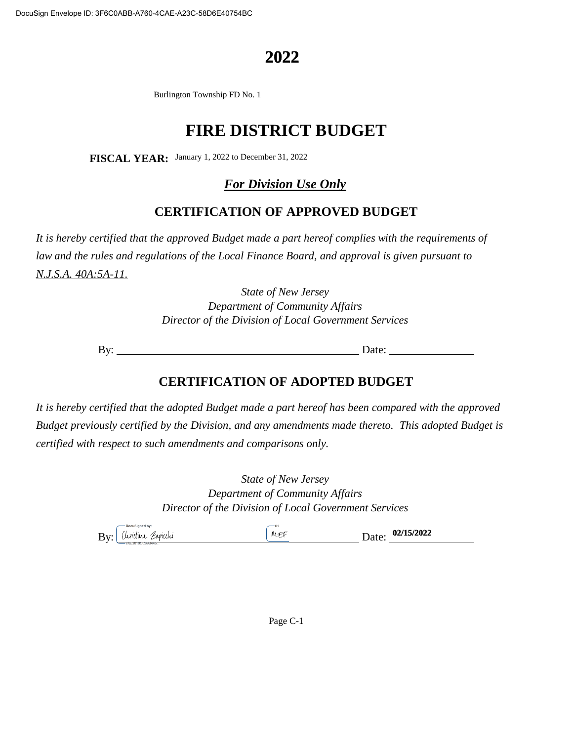### **2022**

Burlington Township FD No. 1

### **FIRE DISTRICT BUDGET**

**FISCAL YEAR:** January 1, 2022 to December 31, 2022

#### *For Division Use Only*

#### **CERTIFICATION OF APPROVED BUDGET**

*It is hereby certified that the approved Budget made a part hereof complies with the requirements of law and the rules and regulations of the Local Finance Board, and approval is given pursuant to N.J.S.A. 40A:5A-11.*

> *State of New Jersey Department of Community Affairs Director of the Division of Local Government Services*

By: Date: Date:

#### **CERTIFICATION OF ADOPTED BUDGET**

*It is hereby certified that the adopted Budget made a part hereof has been compared with the approved Budget previously certified by the Division, and any amendments made thereto. This adopted Budget is certified with respect to such amendments and comparisons only.* 

> *Director of the Division of Local Government Services State of New Jersey Department of Community Affairs*

|                   | DocuSigned by:             | ۰DS          |            |
|-------------------|----------------------------|--------------|------------|
| $\mathbf{R}$<br>◡ | ' nstine<br>Zapicchi<br>w. | M<br>ر میں س | 02/15/2022 |
|                   | одези посеренно…           |              |            |

Page C-1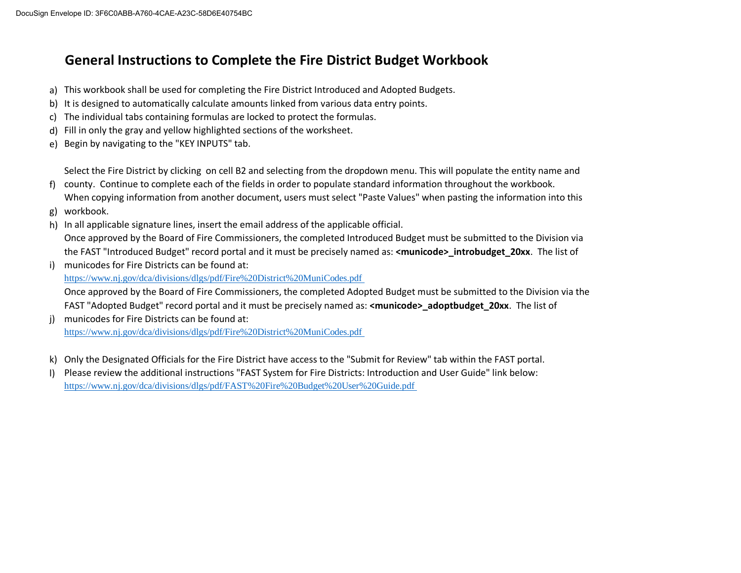#### **General Instructions to Complete the Fire District Budget Workbook**

- a) This workbook shall be used for completing the Fire District Introduced and Adopted Budgets.
- b) It is designed to automatically calculate amounts linked from various data entry points.
- c) The individual tabs containing formulas are locked to protect the formulas.
- d) Fill in only the gray and yellow highlighted sections of the worksheet.
- e) Begin by navigating to the "KEY INPUTS" tab.

Select the Fire District by clicking on cell B2 and selecting from the dropdown menu. This will populate the entity name and

- f) county. Continue to complete each of the fields in order to populate standard information throughout the workbook. When copying information from another document, users must select "Paste Values" when pasting the information into this
- g) workbook.
- h) In all applicable signature lines, insert the email address of the applicable official. Once approved by the Board of Fire Commissioners, the completed Introduced Budget must be submitted to the Division via the FAST "Introduced Budget" record portal and it must be precisely named as: <**municode> introbudget\_20xx**. The list of
- i) municodes for Fire Districts can be found at:

[https://www.nj.gov/dca/divisions/dlgs/pdf/Fire%20District%20MuniCodes.pdf](https://www.nj.gov/dca/divisions/dlgs/pdf/Fire District MuniCodes.pdf) 

Once approved by the Board of Fire Commissioners, the completed Adopted Budget must be submitted to the Division via the FAST "Adopted Budget" record portal and it must be precisely named as: **<municode>\_adoptbudget\_20xx**. The list of

j) municodes for Fire Districts can be found at:

[https://www.nj.gov/dca/divisions/dlgs/pdf/Fire%20District%20MuniCodes.pdf](https://www.nj.gov/dca/divisions/dlgs/pdf/Fire District MuniCodes.pdf) 

k) Only the Designated Officials for the Fire District have access to the "Submit for Review" tab within the FAST portal.

l) Please review the additional instructions "FAST System for Fire Districts: Introduction and User Guide" link below: [https://www.nj.gov/dca/divisions/dlgs/pdf/FAST%20Fire%20Budget%20User%20Guide.pdf](https://www.nj.gov/dca/divisions/dlgs/pdf/FAST Fire Budget User Guide.pdf)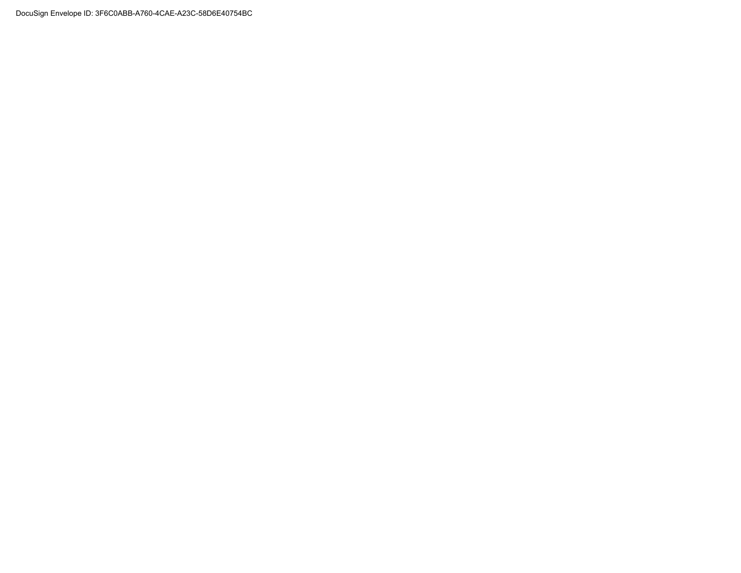DocuSign Envelope ID: 3F6C0ABB-A760-4CAE-A23C-58D6E40754BC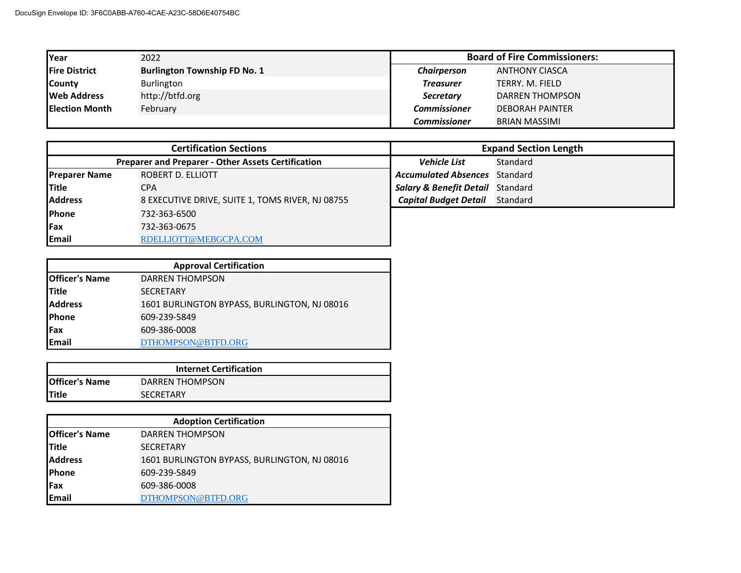| <b>IYear</b>          | 2022                                | <b>Board of Fire Commissioners:</b> |                        |
|-----------------------|-------------------------------------|-------------------------------------|------------------------|
| <b>Fire District</b>  | <b>Burlington Township FD No. 1</b> | <b>Chairperson</b>                  | ANTHONY CIASCA         |
| <b>County</b>         | Burlington                          | <b>Treasurer</b>                    | TERRY, M. FIELD        |
| <b>Web Address</b>    | http://btfd.org                     | <b>Secretary</b>                    | DARREN THOMPSON        |
| <b>Election Month</b> | February                            | <b>Commissioner</b>                 | <b>DEBORAH PAINTER</b> |
|                       |                                     | <b>Commissioner</b>                 | <b>BRIAN MASSIMI</b>   |

| <b>Certification Sections</b> |                                                           | <b>Expand Section Length</b>          |          |
|-------------------------------|-----------------------------------------------------------|---------------------------------------|----------|
|                               | <b>Preparer and Preparer - Other Assets Certification</b> | <b>Vehicle List</b>                   | Standard |
| <b>Preparer Name</b>          | ROBERT D. ELLIOTT                                         | <b>Accumulated Absences</b> Standard  |          |
| <b>Title</b>                  | CPA <sup>.</sup>                                          | Salary & Benefit Detail Standard      |          |
| <b>Address</b>                | 8 EXECUTIVE DRIVE, SUITE 1, TOMS RIVER, NJ 08755          | <b>Capital Budget Detail Standard</b> |          |
| Phone                         | 732-363-6500                                              |                                       |          |
| Fax                           | 732-363-0675                                              |                                       |          |
| <b>Email</b>                  | RDELLIOTT@MEBGCPA.COM                                     |                                       |          |

| <b>Approval Certification</b> |                                              |  |  |
|-------------------------------|----------------------------------------------|--|--|
| <b>Officer's Name</b>         | DARREN THOMPSON                              |  |  |
| <b>Title</b>                  | <b>SECRETARY</b>                             |  |  |
| <b>Address</b>                | 1601 BURLINGTON BYPASS, BURLINGTON, NJ 08016 |  |  |
| Phone                         | 609-239-5849                                 |  |  |
| <b>Fax</b>                    | 609-386-0008                                 |  |  |
| Email                         | DTHOMPSON@BTFD.ORG                           |  |  |

| <b>Internet Certification</b> |                  |  |  |
|-------------------------------|------------------|--|--|
| <b>Officer's Name</b>         | DARREN THOMPSON  |  |  |
| <b>Title</b>                  | <b>SECRETARY</b> |  |  |

| <b>Adoption Certification</b> |                                              |  |  |
|-------------------------------|----------------------------------------------|--|--|
| <b>Officer's Name</b>         | <b>DARREN THOMPSON</b>                       |  |  |
| <b>Title</b>                  | <b>SECRETARY</b>                             |  |  |
| <b>Address</b>                | 1601 BURLINGTON BYPASS, BURLINGTON, NJ 08016 |  |  |
| Phone                         | 609-239-5849                                 |  |  |
| Fax                           | 609-386-0008                                 |  |  |
| Email                         | DTHOMPSON@BTFD.ORG                           |  |  |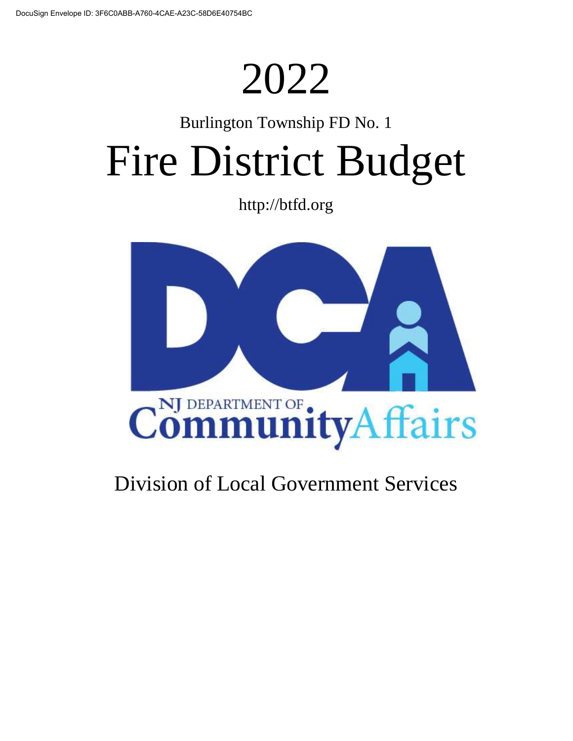# 2022

## Burlington Township FD No. 1 Fire District Budget

http://btfd.org



### Division of Local Government Services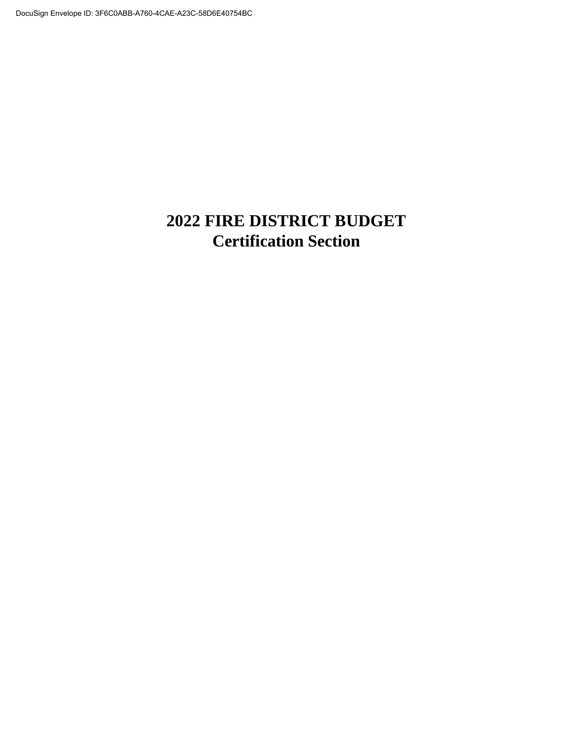### **2022 FIRE DISTRICT BUDGET Certification Section**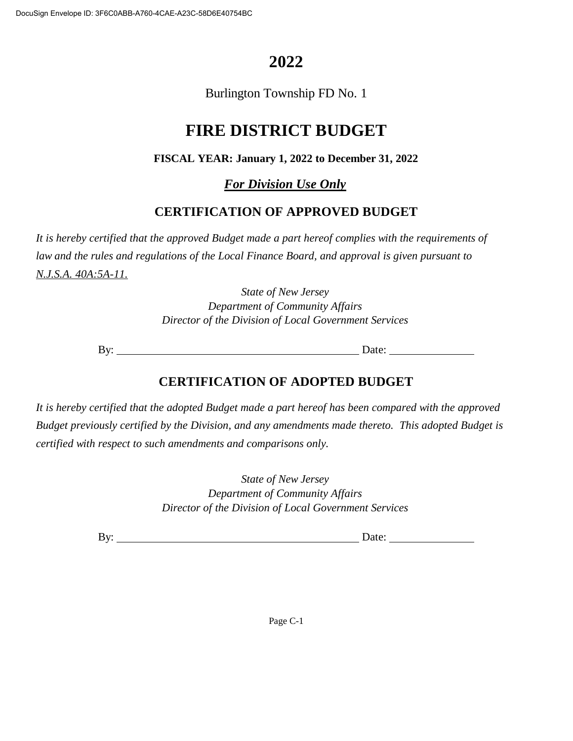### **2022**

Burlington Township FD No. 1

### **FIRE DISTRICT BUDGET**

#### **FISCAL YEAR: January 1, 2022 to December 31, 2022**

*For Division Use Only*

#### **CERTIFICATION OF APPROVED BUDGET**

*It is hereby certified that the approved Budget made a part hereof complies with the requirements of law and the rules and regulations of the Local Finance Board, and approval is given pursuant to N.J.S.A. 40A:5A-11.*

> *Director of the Division of Local Government Services State of New Jersey Department of Community Affairs*

By: Date: Date:

### **CERTIFICATION OF ADOPTED BUDGET**

*certified with respect to such amendments and comparisons only. Budget previously certified by the Division, and any amendments made thereto. This adopted Budget is It is hereby certified that the adopted Budget made a part hereof has been compared with the approved*

> *Director of the Division of Local Government Services Department of Community Affairs State of New Jersey*

By: Date: Date:

Page C-1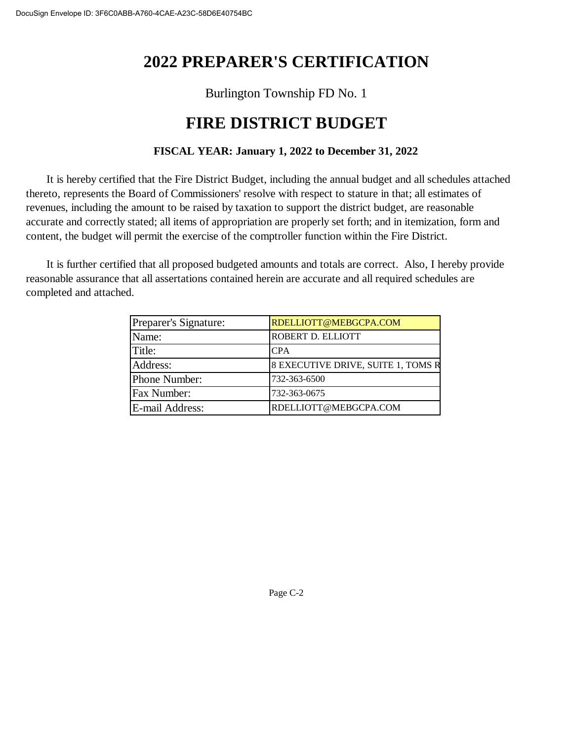### **2022 PREPARER'S CERTIFICATION**

#### Burlington Township FD No. 1

### **FIRE DISTRICT BUDGET**

#### **FISCAL YEAR: January 1, 2022 to December 31, 2022**

content, the budget will permit the exercise of the comptroller function within the Fire District. accurate and correctly stated; all items of appropriation are properly set forth; and in itemization, form and revenues, including the amount to be raised by taxation to support the district budget, are reasonable thereto, represents the Board of Commissioners' resolve with respect to stature in that; all estimates of It is hereby certified that the Fire District Budget, including the annual budget and all schedules attached

completed and attached. reasonable assurance that all assertations contained herein are accurate and all required schedules are It is further certified that all proposed budgeted amounts and totals are correct. Also, I hereby provide

| Preparer's Signature: | RDELLIOTT@MEBGCPA.COM              |
|-----------------------|------------------------------------|
| Name:                 | <b>ROBERT D. ELLIOTT</b>           |
| Title:                | <b>CPA</b>                         |
| Address:              | 8 EXECUTIVE DRIVE, SUITE 1, TOMS R |
| Phone Number:         | 732-363-6500                       |
| <b>Fax Number:</b>    | 732-363-0675                       |
| E-mail Address:       | RDELLIOTT@MEBGCPA.COM              |

Page C-2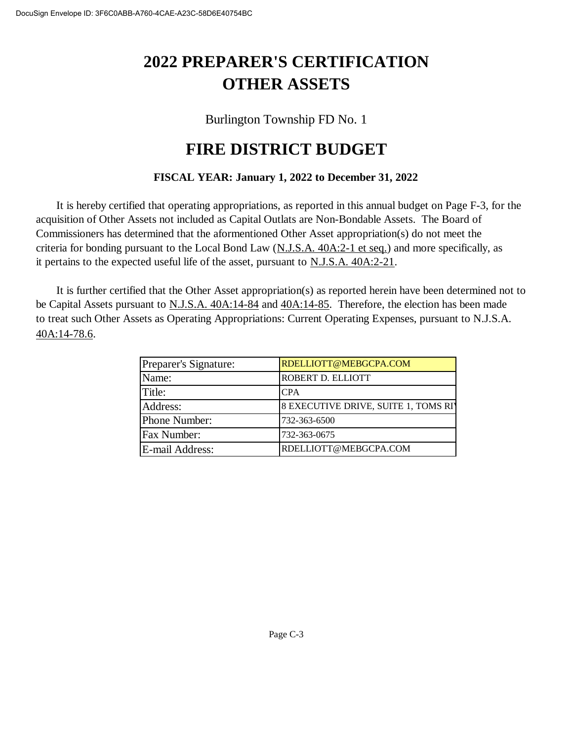### **2022 PREPARER'S CERTIFICATION OTHER ASSETS**

Burlington Township FD No. 1

### **FIRE DISTRICT BUDGET**

#### **FISCAL YEAR: January 1, 2022 to December 31, 2022**

 It is hereby certified that operating appropriations, as reported in this annual budget on Page F-3, for the Commissioners has determined that the aformentioned Other Asset appropriation(s) do not meet the criteria for bonding pursuant to the Local Bond Law (N.J.S.A. 40A:2-1 et seq.) and more specifically, as it pertains to the expected useful life of the asset, pursuant to N.J.S.A. 40A:2-21. acquisition of Other Assets not included as Capital Outlats are Non-Bondable Assets. The Board of

 It is further certified that the Other Asset appropriation(s) as reported herein have been determined not to be Capital Assets pursuant to N.J.S.A. 40A:14-84 and 40A:14-85. Therefore, the election has been made to treat such Other Assets as Operating Appropriations: Current Operating Expenses, pursuant to N.J.S.A. 40A:14-78.6.

| Preparer's Signature: | RDELLIOTT@MEBGCPA.COM               |
|-----------------------|-------------------------------------|
| Name:                 | ROBERT D. ELLIOTT                   |
| Title:                | CPA                                 |
| Address:              | 8 EXECUTIVE DRIVE, SUITE 1, TOMS RI |
| Phone Number:         | 732-363-6500                        |
| Fax Number:           | 732-363-0675                        |
| E-mail Address:       | RDELLIOTT@MEBGCPA.COM               |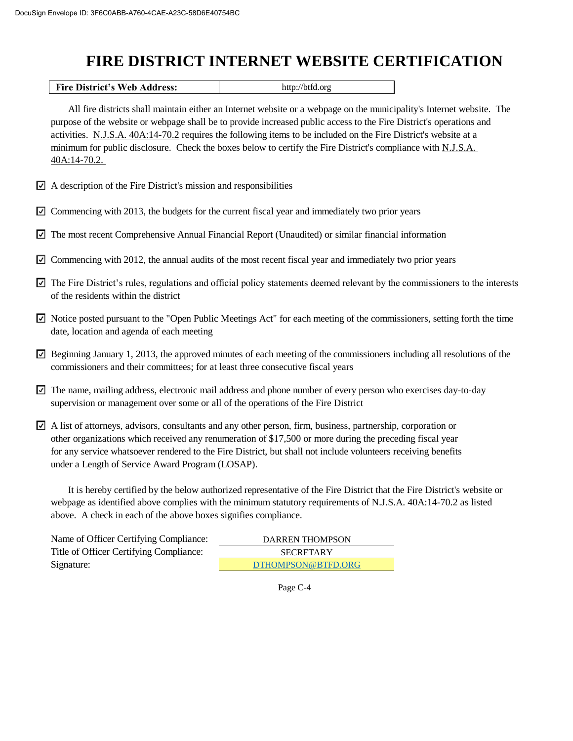### **FIRE DISTRICT INTERNET WEBSITE CERTIFICATION**

 **Fire District's Web Address:** http://btfd.org

activities. N.J.S.A. 40A:14-70.2 requires the following items to be included on the Fire District's website at a purpose of the website or webpage shall be to provide increased public access to the Fire District's operations and All fire districts shall maintain either an Internet website or a webpage on the municipality's Internet website. The 40A:14-70.2. minimum for public disclosure. Check the boxes below to certify the Fire District's compliance with N.J.S.A.

- $\Box$  A description of the Fire District's mission and responsibilities
- Commencing with 2013, the budgets for the current fiscal year and immediately two prior years
- $\triangledown$  The most recent Comprehensive Annual Financial Report (Unaudited) or similar financial information
- $\Box$  Commencing with 2012, the annual audits of the most recent fiscal year and immediately two prior years
- of the residents within the district The Fire District's rules, regulations and official policy statements deemed relevant by the commissioners to the interests
- $\triangledown$  Notice posted pursuant to the "Open Public Meetings Act" for each meeting of the commissioners, setting forth the time date, location and agenda of each meeting
- $\triangledown$  Beginning January 1, 2013, the approved minutes of each meeting of the commissioners including all resolutions of the commissioners and their committees; for at least three consecutive fiscal years
- supervision or management over some or all of the operations of the Fire District The name, mailing address, electronic mail address and phone number of every person who exercises day-to-day
- under a Length of Service Award Program (LOSAP). for any service whatsoever rendered to the Fire District, but shall not include volunteers receiving benefits other organizations which received any renumeration of \$17,500 or more during the preceding fiscal year A list of attorneys, advisors, consultants and any other person, firm, business, partnership, corporation or

above. A check in each of the above boxes signifies compliance. webpage as identified above complies with the minimum statutory requirements of N.J.S.A. 40A:14-70.2 as listed It is hereby certified by the below authorized representative of the Fire District that the Fire District's website or

| Name of Officer Certifying Compliance:  | DARREN THOMPSON    |
|-----------------------------------------|--------------------|
| Title of Officer Certifying Compliance: | <b>SECRETARY</b>   |
| Signature:                              | DTHOMPSON@BTFD.ORG |

Page C-4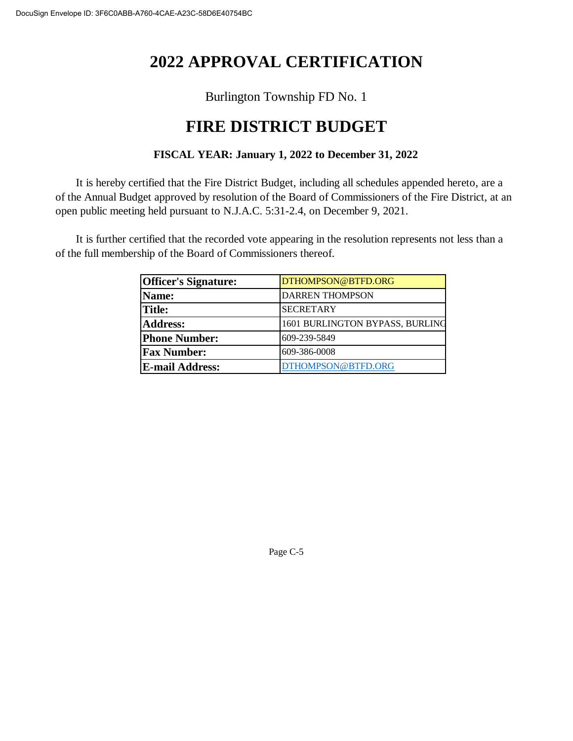### **2022 APPROVAL CERTIFICATION**

Burlington Township FD No. 1

### **FIRE DISTRICT BUDGET**

#### **FISCAL YEAR: January 1, 2022 to December 31, 2022**

of the Annual Budget approved by resolution of the Board of Commissioners of the Fire District, at an It is hereby certified that the Fire District Budget, including all schedules appended hereto, are a open public meeting held pursuant to N.J.A.C. 5:31-2.4, on December 9, 2021.

 It is further certified that the recorded vote appearing in the resolution represents not less than a of the full membership of the Board of Commissioners thereof.

| <b>Officer's Signature:</b> | DTHOMPSON@BTFD.ORG              |
|-----------------------------|---------------------------------|
| Name:                       | <b>DARREN THOMPSON</b>          |
| <b>Title:</b>               | <b>SECRETARY</b>                |
| <b>Address:</b>             | 1601 BURLINGTON BYPASS, BURLING |
| <b>Phone Number:</b>        | 609-239-5849                    |
| <b>Fax Number:</b>          | 609-386-0008                    |
| <b>E-mail Address:</b>      | DTHOMPSON@BTFD.ORG              |

Page C-5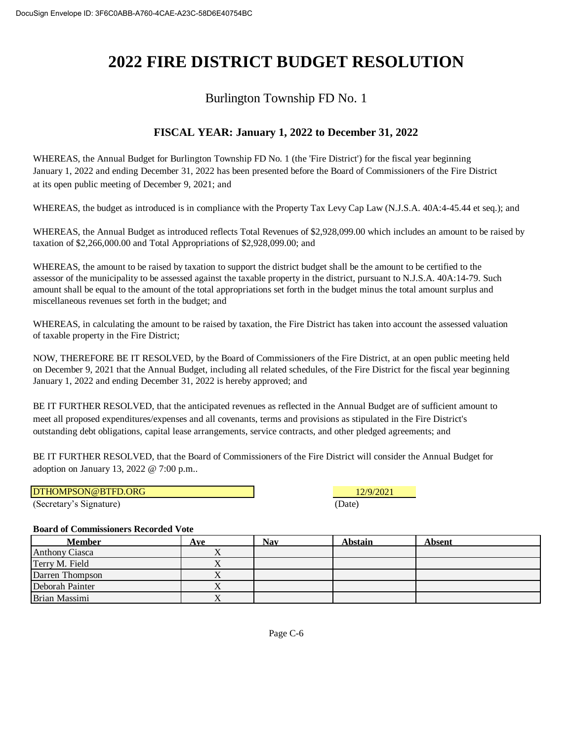### **2022 FIRE DISTRICT BUDGET RESOLUTION**

#### Burlington Township FD No. 1

#### **FISCAL YEAR: January 1, 2022 to December 31, 2022**

WHEREAS, the Annual Budget for Burlington Township FD No. 1 (the 'Fire District') for the fiscal year beginning at its open public meeting of December 9, 2021; and January 1, 2022 and ending December 31, 2022 has been presented before the Board of Commissioners of the Fire District

WHEREAS, the budget as introduced is in compliance with the Property Tax Levy Cap Law (N.J.S.A. 40A:4-45.44 et seq.); and

WHEREAS, the Annual Budget as introduced reflects Total Revenues of \$2,928,099.00 which includes an amount to be raised by taxation of \$2,266,000.00 and Total Appropriations of \$2,928,099.00; and

assessor of the municipality to be assessed against the taxable property in the district, pursuant to N.J.S.A. 40A:14-79. Such WHEREAS, the amount to be raised by taxation to support the district budget shall be the amount to be certified to the miscellaneous revenues set forth in the budget; and amount shall be equal to the amount of the total appropriations set forth in the budget minus the total amount surplus and

of taxable property in the Fire District; WHEREAS, in calculating the amount to be raised by taxation, the Fire District has taken into account the assessed valuation

January 1, 2022 and ending December 31, 2022 is hereby approved; and on December 9, 2021 that the Annual Budget, including all related schedules, of the Fire District for the fiscal year beginning NOW, THEREFORE BE IT RESOLVED, by the Board of Commissioners of the Fire District, at an open public meeting held

BE IT FURTHER RESOLVED, that the anticipated revenues as reflected in the Annual Budget are of sufficient amount to outstanding debt obligations, capital lease arrangements, service contracts, and other pledged agreements; and meet all proposed expenditures/expenses and all covenants, terms and provisions as stipulated in the Fire District's

adoption on January 13, 2022 @ 7:00 p.m.. BE IT FURTHER RESOLVED, that the Board of Commissioners of the Fire District will consider the Annual Budget for

DTHOMPSON@BTFD.ORG 12/9/2021

| (Secretary's Signature) | (Date) |
|-------------------------|--------|
|-------------------------|--------|

#### **Board of Commissioners Recorded Vote**

| <b>Member</b>         | Ave | <b>Nav</b> | <b>Abstain</b> | Absent |
|-----------------------|-----|------------|----------------|--------|
| <b>Anthony Ciasca</b> |     |            |                |        |
| Terry M. Field        |     |            |                |        |
| Darren Thompson       |     |            |                |        |
| Deborah Painter       |     |            |                |        |
| Brian Massimi         |     |            |                |        |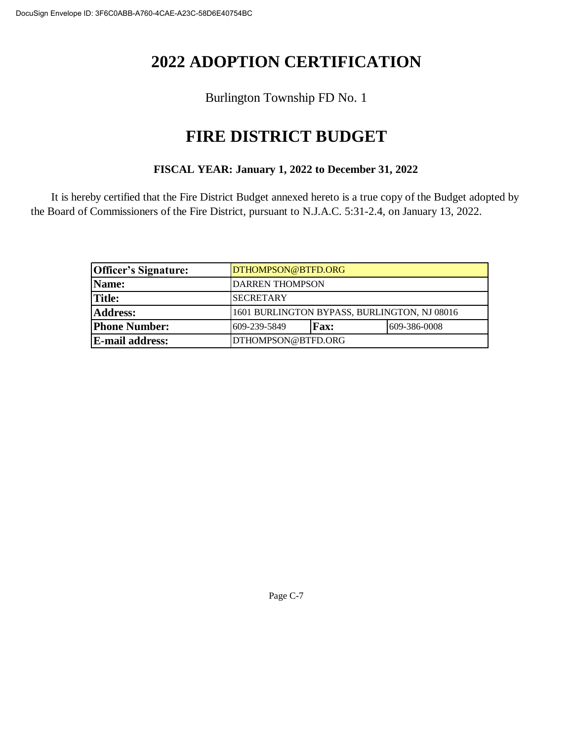### **2022 ADOPTION CERTIFICATION**

Burlington Township FD No. 1

### **FIRE DISTRICT BUDGET**

#### **FISCAL YEAR: January 1, 2022 to December 31, 2022**

the Board of Commissioners of the Fire District, pursuant to N.J.A.C. 5:31-2.4, on January 13, 2022. It is hereby certified that the Fire District Budget annexed hereto is a true copy of the Budget adopted by

| <b>Officer's Signature:</b> | DTHOMPSON@BTFD.ORG                           |             |              |  |  |  |
|-----------------------------|----------------------------------------------|-------------|--------------|--|--|--|
| Name:                       | <b>DARREN THOMPSON</b>                       |             |              |  |  |  |
| Title:                      | <b>SECRETARY</b>                             |             |              |  |  |  |
| <b>Address:</b>             | 1601 BURLINGTON BYPASS, BURLINGTON, NJ 08016 |             |              |  |  |  |
| <b>Phone Number:</b>        | 609-239-5849                                 | <b>Fax:</b> | 609-386-0008 |  |  |  |
| <b>E-mail address:</b>      | DTHOMPSON@BTFD.ORG                           |             |              |  |  |  |

Page C-7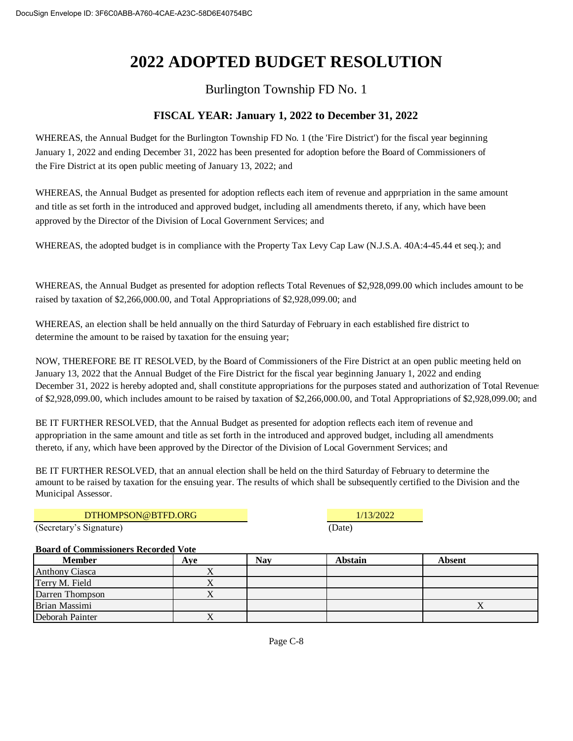### **2022 ADOPTED BUDGET RESOLUTION**

#### Burlington Township FD No. 1

#### **FISCAL YEAR: January 1, 2022 to December 31, 2022**

the Fire District at its open public meeting of January 13, 2022; and January 1, 2022 and ending December 31, 2022 has been presented for adoption before the Board of Commissioners of WHEREAS, the Annual Budget for the Burlington Township FD No. 1 (the 'Fire District') for the fiscal year beginning

approved by the Director of the Division of Local Government Services; and and title as set forth in the introduced and approved budget, including all amendments thereto, if any, which have been WHEREAS, the Annual Budget as presented for adoption reflects each item of revenue and apprpriation in the same amount

WHEREAS, the adopted budget is in compliance with the Property Tax Levy Cap Law (N.J.S.A. 40A:4-45.44 et seq.); and

raised by taxation of \$2,266,000.00, and Total Appropriations of \$2,928,099.00; and WHEREAS, the Annual Budget as presented for adoption reflects Total Revenues of \$2,928,099.00 which includes amount to be

determine the amount to be raised by taxation for the ensuing year; WHEREAS, an election shall be held annually on the third Saturday of February in each established fire district to

January 13, 2022 that the Annual Budget of the Fire District for the fiscal year beginning January 1, 2022 and ending NOW, THEREFORE BE IT RESOLVED, by the Board of Commissioners of the Fire District at an open public meeting held on of \$2,928,099.00, which includes amount to be raised by taxation of \$2,266,000.00, and Total Appropriations of \$2,928,099.00; and December 31, 2022 is hereby adopted and, shall constitute appropriations for the purposes stated and authorization of Total Revenues

thereto, if any, which have been approved by the Director of the Division of Local Government Services; and appropriation in the same amount and title as set forth in the introduced and approved budget, including all amendments BE IT FURTHER RESOLVED, that the Annual Budget as presented for adoption reflects each item of revenue and

amount to be raised by taxation for the ensuing year. The results of which shall be subsequently certified to the Division and the Municipal Assessor. BE IT FURTHER RESOLVED, that an annual election shall be held on the third Saturday of February to determine the

#### DTHOMPSON@BTFD.ORG 1/13/2022

(Secretary's Signature) (Date)

#### **Board of Commissioners Recorded Vote**

| <b>Member</b>         | Ave | <b>Nay</b> | <b>Abstain</b> | <b>Absent</b> |
|-----------------------|-----|------------|----------------|---------------|
| <b>Anthony Ciasca</b> |     |            |                |               |
| Terry M. Field        | △   |            |                |               |
| Darren Thompson       |     |            |                |               |
| Brian Massimi         |     |            |                |               |
| Deborah Painter       |     |            |                |               |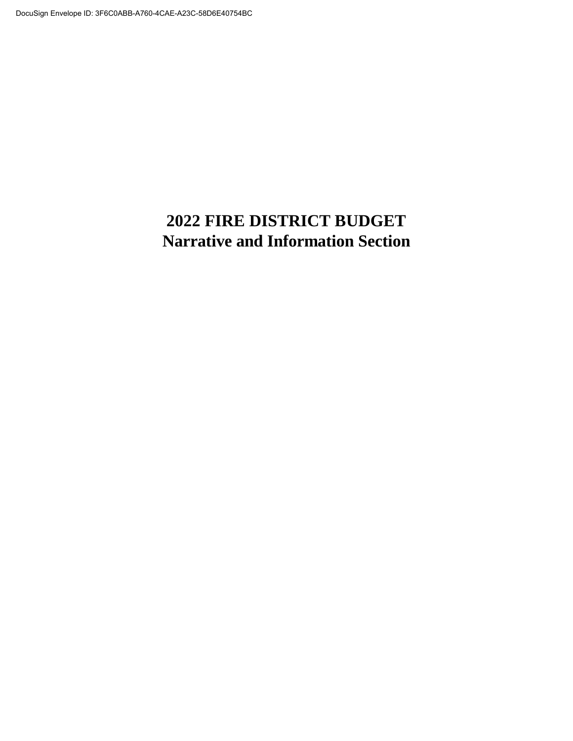### **2022 FIRE DISTRICT BUDGET Narrative and Information Section**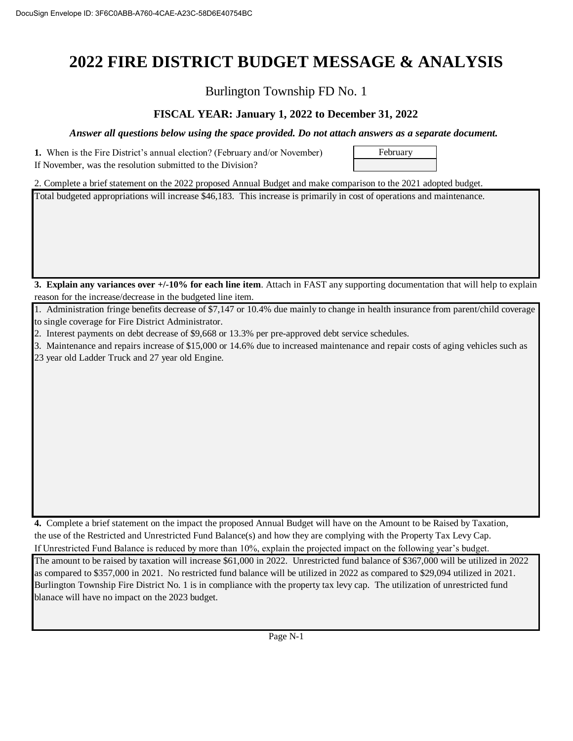### **2022 FIRE DISTRICT BUDGET MESSAGE & ANALYSIS**

#### Burlington Township FD No. 1

#### **FISCAL YEAR: January 1, 2022 to December 31, 2022**

#### *Answer all questions below using the space provided. Do not attach answers as a separate document.*

**1.** When is the Fire District's annual election? (February and/or November) February If November, was the resolution submitted to the Division?

2. Complete a brief statement on the 2022 proposed Annual Budget and make comparison to the 2021 adopted budget.

Total budgeted appropriations will increase \$46,183. This increase is primarily in cost of operations and maintenance.

**3. Explain any variances over +/-10% for each line item**. Attach in FAST any supporting documentation that will help to explain reason for the increase/decrease in the budgeted line item.

1. Administration fringe benefits decrease of \$7,147 or 10.4% due mainly to change in health insurance from parent/child coverage to single coverage for Fire District Administrator.

2. Interest payments on debt decrease of \$9,668 or 13.3% per pre-approved debt service schedules.

3. Maintenance and repairs increase of \$15,000 or 14.6% due to increased maintenance and repair costs of aging vehicles such as 23 year old Ladder Truck and 27 year old Engine.

**4.** Complete a brief statement on the impact the proposed Annual Budget will have on the Amount to be Raised by Taxation, the use of the Restricted and Unrestricted Fund Balance(s) and how they are complying with the Property Tax Levy Cap. If Unrestricted Fund Balance is reduced by more than 10%, explain the projected impact on the following year's budget.

The amount to be raised by taxation will increase \$61,000 in 2022. Unrestricted fund balance of \$367,000 will be utilized in 2022 as compared to \$357,000 in 2021. No restricted fund balance will be utilized in 2022 as compared to \$29,094 utilized in 2021. Burlington Township Fire District No. 1 is in compliance with the property tax levy cap. The utilization of unrestricted fund blanace will have no impact on the 2023 budget.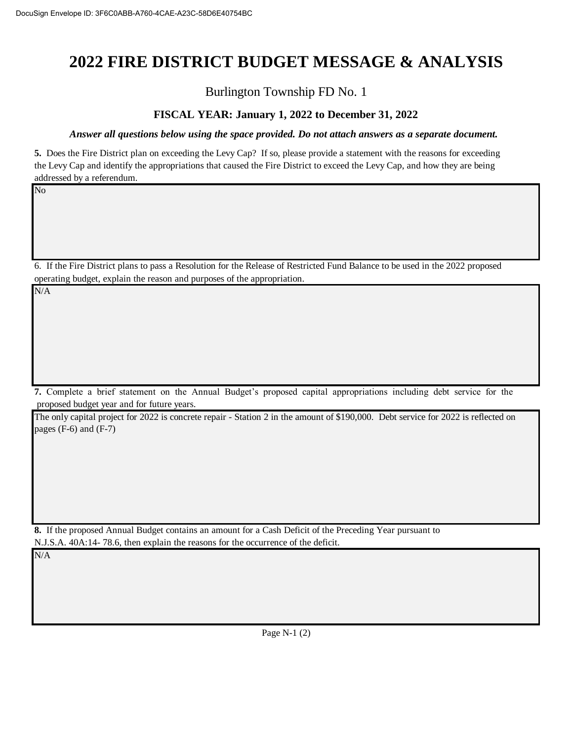### **2022 FIRE DISTRICT BUDGET MESSAGE & ANALYSIS**

#### Burlington Township FD No. 1

#### **FISCAL YEAR: January 1, 2022 to December 31, 2022**

#### *Answer all questions below using the space provided. Do not attach answers as a separate document.*

**5.** Does the Fire District plan on exceeding the Levy Cap? If so, please provide a statement with the reasons for exceeding the Levy Cap and identify the appropriations that caused the Fire District to exceed the Levy Cap, and how they are being addressed by a referendum.

No

6. If the Fire District plans to pass a Resolution for the Release of Restricted Fund Balance to be used in the 2022 proposed operating budget, explain the reason and purposes of the appropriation.

 $N/A$ 

**7.** Complete a brief statement on the Annual Budget's proposed capital appropriations including debt service for the proposed budget year and for future years.

The only capital project for 2022 is concrete repair - Station 2 in the amount of \$190,000. Debt service for 2022 is reflected on pages (F-6) and (F-7)

**8.** If the proposed Annual Budget contains an amount for a Cash Deficit of the Preceding Year pursuant to N.J.S.A. 40A:14- 78.6, then explain the reasons for the occurrence of the deficit.

N/A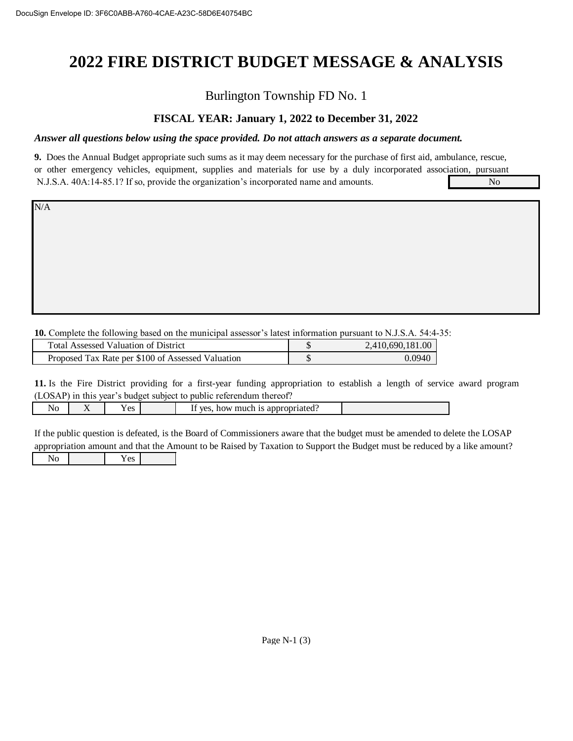### **2022 FIRE DISTRICT BUDGET MESSAGE & ANALYSIS**

#### Burlington Township FD No. 1

#### **FISCAL YEAR: January 1, 2022 to December 31, 2022**

#### *Answer all questions below using the space provided. Do not attach answers as a separate document.*

**9.** Does the Annual Budget appropriate such sums as it may deem necessary for the purchase of first aid, ambulance, rescue, or other emergency vehicles, equipment, supplies and materials for use by a duly incorporated association, pursuant N.J.S.A. 40A:14-85.1? If so, provide the organization's incorporated name and amounts. No

N/A

**10.** Complete the following based on the municipal assessor's latest information pursuant to N.J.S.A. 54:4-35:

| <b>Total Assessed Valuation of District</b>       | 2,410,690,181.00 |
|---------------------------------------------------|------------------|
| Proposed Tax Rate per \$100 of Assessed Valuation | 0.0940           |

**11.** Is the Fire District providing for a first-year funding appropriation to establish a length of service award program (LOSAP) in this year's budget subject to public referendum thereof?

| NO. | . .<br>-- | - -<br>$\alpha$<br>$-00$ | VAC<br>-----<br>intac<br>----<br>าทr<br>now<br>шк<br>21 D D L<br>w<br>10<br>. .<br>.<br>. . |  |
|-----|-----------|--------------------------|---------------------------------------------------------------------------------------------|--|
|     |           |                          |                                                                                             |  |

If the public question is defeated, is the Board of Commissioners aware that the budget must be amended to delete the LOSAP appropriation amount and that the Amount to be Raised by Taxation to Support the Budget must be reduced by a like amount?

| wppique printed the water was written where the t |  |  |  |  |
|---------------------------------------------------|--|--|--|--|
|                                                   |  |  |  |  |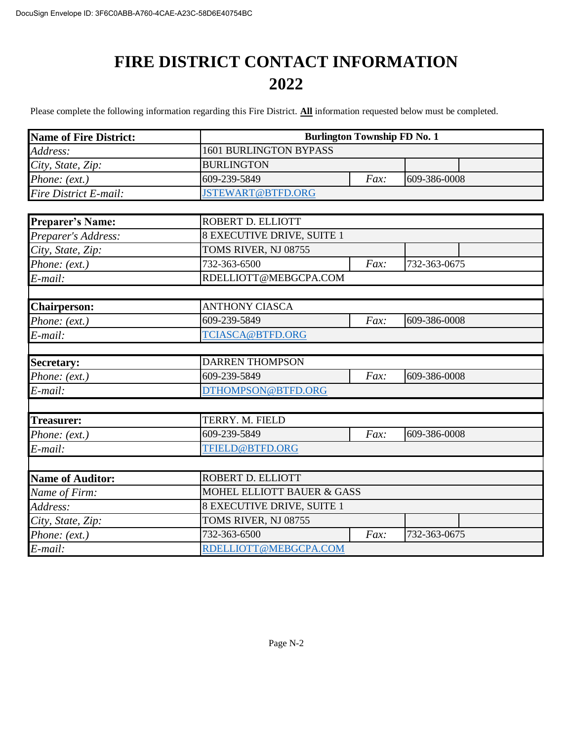### **FIRE DISTRICT CONTACT INFORMATION 2022**

Please complete the following information regarding this Fire District. **All** information requested below must be completed.

| <b>Name of Fire District:</b> |                                   | <b>Burlington Township FD No. 1</b> |              |  |  |  |  |  |
|-------------------------------|-----------------------------------|-------------------------------------|--------------|--|--|--|--|--|
| Address:                      | <b>1601 BURLINGTON BYPASS</b>     |                                     |              |  |  |  |  |  |
| City, State, Zip:             | <b>BURLINGTON</b>                 |                                     |              |  |  |  |  |  |
| Phone: (ext.)                 | 609-239-5849                      | Fax:                                | 609-386-0008 |  |  |  |  |  |
| Fire District E-mail:         | <b>JSTEWART@BTFD.ORG</b>          |                                     |              |  |  |  |  |  |
|                               |                                   |                                     |              |  |  |  |  |  |
| <b>Preparer's Name:</b>       | ROBERT D. ELLIOTT                 |                                     |              |  |  |  |  |  |
| Preparer's Address:           | <b>8 EXECUTIVE DRIVE, SUITE 1</b> |                                     |              |  |  |  |  |  |
| City, State, Zip:             | TOMS RIVER, NJ 08755              |                                     |              |  |  |  |  |  |
| Phone: (ext.)                 | 732-363-6500                      | Fax:                                | 732-363-0675 |  |  |  |  |  |
| E-mail:                       | RDELLIOTT@MEBGCPA.COM             |                                     |              |  |  |  |  |  |
|                               |                                   |                                     |              |  |  |  |  |  |
| <b>Chairperson:</b>           | <b>ANTHONY CIASCA</b>             |                                     |              |  |  |  |  |  |
| Phone: (ext.)                 | 609-239-5849                      | Fax:                                | 609-386-0008 |  |  |  |  |  |
| E-mail:                       | TCIASCA@BTFD.ORG                  |                                     |              |  |  |  |  |  |
|                               |                                   |                                     |              |  |  |  |  |  |
| <b>Secretary:</b>             | <b>DARREN THOMPSON</b>            |                                     |              |  |  |  |  |  |
| Phone: (ext.)                 | 609-239-5849                      | Fax:                                | 609-386-0008 |  |  |  |  |  |
| E-mail:                       | DTHOMPSON@BTFD.ORG                |                                     |              |  |  |  |  |  |
|                               |                                   |                                     |              |  |  |  |  |  |
| Treasurer:                    | TERRY. M. FIELD                   |                                     |              |  |  |  |  |  |
| Phone: (ext.)                 | 609-239-5849                      | Fax:                                | 609-386-0008 |  |  |  |  |  |
| E-mail:                       | TFIELD@BTFD.ORG                   |                                     |              |  |  |  |  |  |
|                               |                                   |                                     |              |  |  |  |  |  |
| <b>Name of Auditor:</b>       | ROBERT D. ELLIOTT                 |                                     |              |  |  |  |  |  |
| Name of Firm:                 | MOHEL ELLIOTT BAUER & GASS        |                                     |              |  |  |  |  |  |
| Address:                      | 8 EXECUTIVE DRIVE, SUITE 1        |                                     |              |  |  |  |  |  |
| City, State, Zip:             | TOMS RIVER, NJ 08755              |                                     |              |  |  |  |  |  |
| Phone: (ext.)                 | 732-363-6500                      | $Fax$ :                             | 732-363-0675 |  |  |  |  |  |
| E-mail:                       |                                   | RDELLIOTT@MEBGCPA.COM               |              |  |  |  |  |  |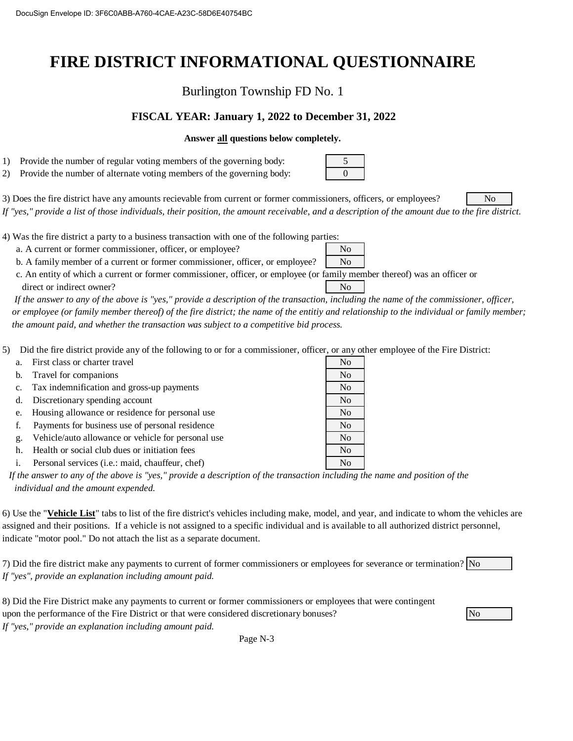### **FIRE DISTRICT INFORMATIONAL QUESTIONNAIRE**

Burlington Township FD No. 1

#### **FISCAL YEAR: January 1, 2022 to December 31, 2022**

#### **Answer all questions below completely.**

|                                    |  |  |  |  | 1) Provide the number of regular voting members of the governing body: |  |  |  |
|------------------------------------|--|--|--|--|------------------------------------------------------------------------|--|--|--|
| $\sim$ $\sim$ $\sim$ $\sim$ $\sim$ |  |  |  |  |                                                                        |  |  |  |

2) Provide the number of alternate voting members of the governing body:

3) Does the fire district have any amounts recievable from current or former commissioners, officers, or employees? No *If "yes," provide a list of those individuals, their position, the amount receivable, and a description of the amount due to the fire district.*

- 4) Was the fire district a party to a business transaction with one of the following parties:
	- **a.** A current or former commissioner, officer, or employee? No
	- **b.** A family member of a current or former commissioner, officer, or employee? No
	- c. An entity of which a current or former commissioner, officer, or employee (or family member thereof) was an officer or

direct or indirect owner? No  *If the answer to any of the above is "yes," provide a description of the transaction, including the name of the commissioner, officer, or employee (or family member thereof) of the fire district; the name of the entitiy and relationship to the individual or family member; the amount paid, and whether the transaction was subject to a competitive bid process.* 

5) Did the fire district provide any of the following to or for a commissioner, officer, or any other employee of the Fire District:

| a.             | First class or charter travel                      | N <sub>o</sub> |
|----------------|----------------------------------------------------|----------------|
| $\mathbf{b}$ . | Travel for companions                              | N <sub>o</sub> |
|                | c. Tax indemnification and gross-up payments       | N <sub>0</sub> |
| d.             | Discretionary spending account                     | N <sub>o</sub> |
| e.             | Housing allowance or residence for personal use    | N <sub>o</sub> |
| f.             | Payments for business use of personal residence    | N <sub>0</sub> |
| g.             | Vehicle/auto allowance or vehicle for personal use | N <sub>0</sub> |
| h.             | Health or social club dues or initiation fees      | N <sub>o</sub> |
|                | Personal services (i.e.: maid, chauffeur, chef)    | N <sub>0</sub> |

*If the answer to any of the above is "yes," provide a description of the transaction including the name and position of the individual and the amount expended.* 

6) Use the "**Vehicle List**" tabs to list of the fire district's vehicles including make, model, and year, and indicate to whom the vehicles are assigned and their positions. If a vehicle is not assigned to a specific individual and is available to all authorized district personnel, indicate "motor pool." Do not attach the list as a separate document.

7) Did the fire district make any payments to current of former commissioners or employees for severance or termination? No *If "yes", provide an explanation including amount paid.* 

8) Did the Fire District make any payments to current or former commissioners or employees that were contingent upon the performance of the Fire District or that were considered discretionary bonuses? *If "yes," provide an explanation including amount paid.* 

Page N-3

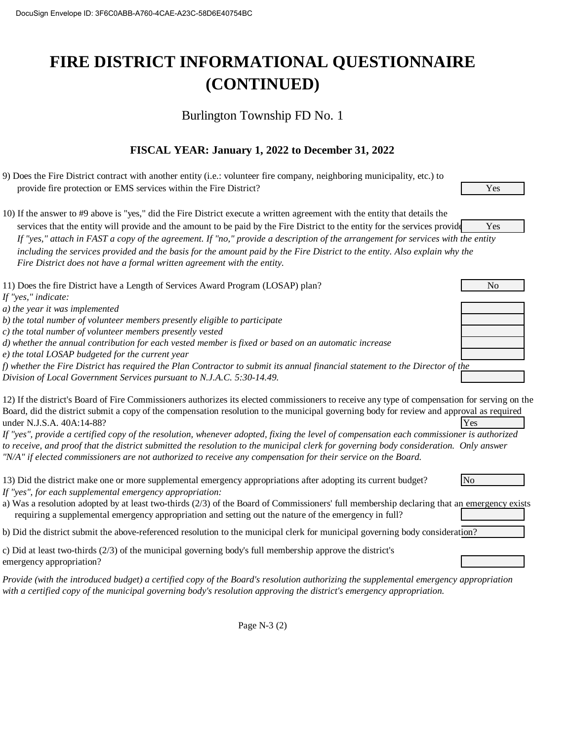### **FIRE DISTRICT INFORMATIONAL QUESTIONNAIRE (CONTINUED)**

Burlington Township FD No. 1

#### **FISCAL YEAR: January 1, 2022 to December 31, 2022**

9) Does the Fire District contract with another entity (i.e.: volunteer fire company, neighboring municipality, etc.) to provide fire protection or EMS services within the Fire District? Yes

10) If the answer to #9 above is "yes," did the Fire District execute a written agreement with the entity that details the services that the entity will provide and the amount to be paid by the Fire District to the entity for the services provide Yes  *If "yes," attach in FAST a copy of the agreement. If "no," provide a description of the arrangement for services with the entity including the services provided and the basis for the amount paid by the Fire District to the entity. Also explain why the Fire District does not have a formal written agreement with the entity.* 

11) Does the fire District have a Length of Services Award Program (LOSAP) plan? No

*If "yes," indicate:*

*a) the year it was implemented*

*b) the total number of volunteer members presently eligible to participate*

*c) the total number of volunteer members presently vested*

*d) whether the annual contribution for each vested member is fixed or based on an automatic increase*

*e) the total LOSAP budgeted for the current year*

*f) whether the Fire District has required the Plan Contractor to submit its annual financial statement to the Director of the Division of Local Government Services pursuant to N.J.A.C. 5:30-14.49.* 

12) If the district's Board of Fire Commissioners authorizes its elected commissioners to receive any type of compensation for serving on the Board, did the district submit a copy of the compensation resolution to the municipal governing body for review and approval as required under N.J.S.A. 40A:14-88? Yes

*If "yes", provide a certified copy of the resolution, whenever adopted, fixing the level of compensation each commissioner is authorized to receive, and proof that the district submitted the resolution to the municipal clerk for governing body consideration. Only answer "N/A" if elected commissioners are not authorized to receive any compensation for their service on the Board.* 

- 13) Did the district make one or more supplemental emergency appropriations after adopting its current budget? No
- *If "yes", for each supplemental emergency appropriation:*
- a) Was a resolution adopted by at least two-thirds (2/3) of the Board of Commissioners' full membership declaring that an emergency exists requiring a supplemental emergency appropriation and setting out the nature of the emergency in full?

b) Did the district submit the above-referenced resolution to the municipal clerk for municipal governing body consideration?

c) Did at least two-thirds (2/3) of the municipal governing body's full membership approve the district's emergency appropriation?

*Provide (with the introduced budget) a certified copy of the Board's resolution authorizing the supplemental emergency appropriation with a certified copy of the municipal governing body's resolution approving the district's emergency appropriation.* 





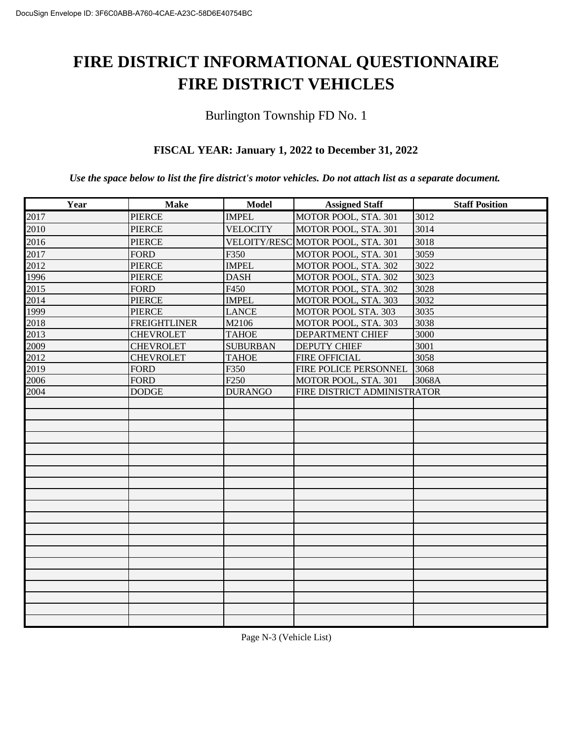### **FIRE DISTRICT INFORMATIONAL QUESTIONNAIRE FIRE DISTRICT VEHICLES**

Burlington Township FD No. 1

#### **FISCAL YEAR: January 1, 2022 to December 31, 2022**

*Use the space below to list the fire district's motor vehicles. Do not attach list as a separate document.* 

| Year | <b>Make</b>         | <b>Model</b>     | <b>Assigned Staff</b>             | <b>Staff Position</b> |
|------|---------------------|------------------|-----------------------------------|-----------------------|
| 2017 | <b>PIERCE</b>       | <b>IMPEL</b>     | MOTOR POOL, STA. 301              | 3012                  |
| 2010 | <b>PIERCE</b>       | <b>VELOCITY</b>  | MOTOR POOL, STA. 301              | 3014                  |
| 2016 | <b>PIERCE</b>       |                  | VELOITY/RESC MOTOR POOL, STA. 301 | 3018                  |
| 2017 | <b>FORD</b>         | F350             | MOTOR POOL, STA. 301              | 3059                  |
| 2012 | <b>PIERCE</b>       | <b>IMPEL</b>     | MOTOR POOL, STA. 302              | 3022                  |
| 1996 | <b>PIERCE</b>       | <b>DASH</b>      | MOTOR POOL, STA. 302              | 3023                  |
| 2015 | <b>FORD</b>         | F450             | MOTOR POOL, STA. 302              | 3028                  |
| 2014 | <b>PIERCE</b>       | <b>IMPEL</b>     | MOTOR POOL, STA. 303              | 3032                  |
| 1999 | <b>PIERCE</b>       | <b>LANCE</b>     | MOTOR POOL STA. 303               | 3035                  |
| 2018 | <b>FREIGHTLINER</b> | M2106            | MOTOR POOL, STA. 303              | 3038                  |
| 2013 | <b>CHEVROLET</b>    | <b>TAHOE</b>     | DEPARTMENT CHIEF                  | 3000                  |
| 2009 | <b>CHEVROLET</b>    | <b>SUBURBAN</b>  | <b>DEPUTY CHIEF</b>               | 3001                  |
| 2012 | <b>CHEVROLET</b>    | <b>TAHOE</b>     | <b>FIRE OFFICIAL</b>              | 3058                  |
| 2019 | <b>FORD</b>         | F350             | FIRE POLICE PERSONNEL             | 3068                  |
| 2006 | <b>FORD</b>         | F <sub>250</sub> | MOTOR POOL, STA. 301              | 3068A                 |
| 2004 | <b>DODGE</b>        | <b>DURANGO</b>   | FIRE DISTRICT ADMINISTRATOR       |                       |
|      |                     |                  |                                   |                       |
|      |                     |                  |                                   |                       |
|      |                     |                  |                                   |                       |
|      |                     |                  |                                   |                       |
|      |                     |                  |                                   |                       |
|      |                     |                  |                                   |                       |
|      |                     |                  |                                   |                       |
|      |                     |                  |                                   |                       |
|      |                     |                  |                                   |                       |
|      |                     |                  |                                   |                       |
|      |                     |                  |                                   |                       |
|      |                     |                  |                                   |                       |
|      |                     |                  |                                   |                       |
|      |                     |                  |                                   |                       |
|      |                     |                  |                                   |                       |
|      |                     |                  |                                   |                       |
|      |                     |                  |                                   |                       |
|      |                     |                  |                                   |                       |
|      |                     |                  |                                   |                       |
|      |                     |                  |                                   |                       |

Page N-3 (Vehicle List)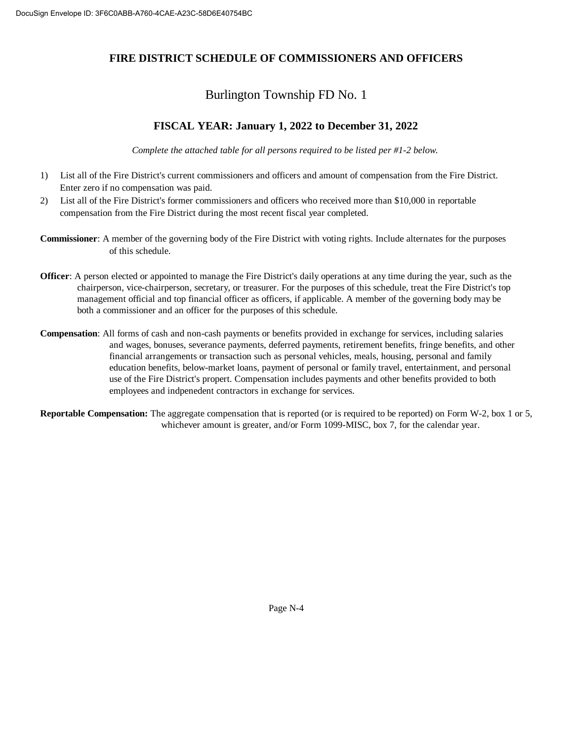#### **FIRE DISTRICT SCHEDULE OF COMMISSIONERS AND OFFICERS**

#### Burlington Township FD No. 1

#### **FISCAL YEAR: January 1, 2022 to December 31, 2022**

*Complete the attached table for all persons required to be listed per #1-2 below.*

- 1) List all of the Fire District's current commissioners and officers and amount of compensation from the Fire District. Enter zero if no compensation was paid.
- 2) List all of the Fire District's former commissioners and officers who received more than \$10,000 in reportable compensation from the Fire District during the most recent fiscal year completed.
- **Commissioner**: A member of the governing body of the Fire District with voting rights. Include alternates for the purposes of this schedule.
- **Officer**: A person elected or appointed to manage the Fire District's daily operations at any time during the year, such as the chairperson, vice-chairperson, secretary, or treasurer. For the purposes of this schedule, treat the Fire District's top management official and top financial officer as officers, if applicable. A member of the governing body may be both a commissioner and an officer for the purposes of this schedule.
- **Compensation**: All forms of cash and non-cash payments or benefits provided in exchange for services, including salaries and wages, bonuses, severance payments, deferred payments, retirement benefits, fringe benefits, and other financial arrangements or transaction such as personal vehicles, meals, housing, personal and family education benefits, below-market loans, payment of personal or family travel, entertainment, and personal use of the Fire District's propert. Compensation includes payments and other benefits provided to both employees and indpenedent contractors in exchange for services.

**Reportable Compensation:** The aggregate compensation that is reported (or is required to be reported) on Form W-2, box 1 or 5, whichever amount is greater, and/or Form 1099-MISC, box 7, for the calendar year.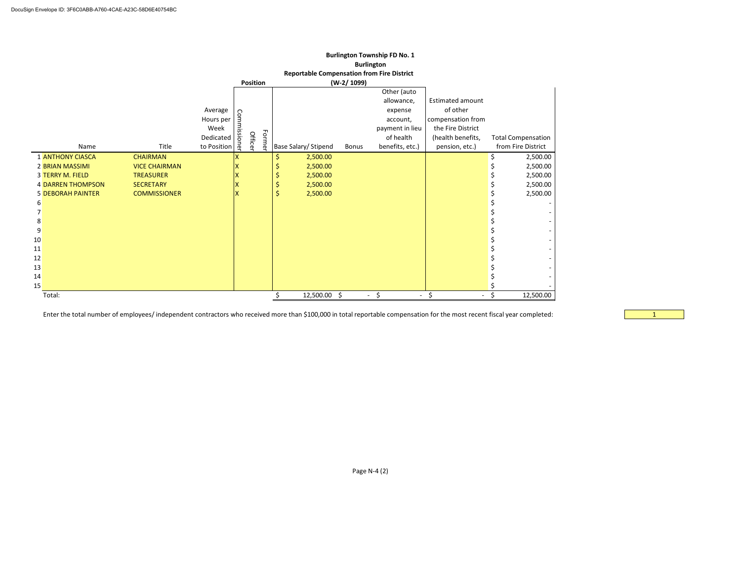|        |                          |                      |             | <b>Burlington Township FD No. 1</b><br><b>Burlington</b><br><b>Reportable Compensation from Fire District</b> |        |                      |              |                                |                         |                           |
|--------|--------------------------|----------------------|-------------|---------------------------------------------------------------------------------------------------------------|--------|----------------------|--------------|--------------------------------|-------------------------|---------------------------|
|        |                          |                      |             | <b>Position</b>                                                                                               |        |                      | $(W-2/1099)$ |                                |                         |                           |
|        |                          |                      |             |                                                                                                               |        |                      |              | Other (auto                    |                         |                           |
|        |                          |                      |             |                                                                                                               |        |                      |              | allowance,                     | <b>Estimated amount</b> |                           |
|        |                          |                      | Average     |                                                                                                               |        |                      |              | expense                        | of other                |                           |
|        |                          |                      | Hours per   |                                                                                                               |        |                      |              | account,                       | compensation from       |                           |
|        |                          |                      | Week        | Commissioner                                                                                                  |        |                      |              | payment in lieu                | the Fire District       |                           |
|        |                          |                      | Dedicated   | Officer                                                                                                       | Former |                      |              | of health                      | (health benefits,       | <b>Total Compensation</b> |
|        | Name                     | Title                | to Position |                                                                                                               |        | Base Salary/ Stipend | Bonus        | benefits, etc.)                | pension, etc.)          | from Fire District        |
|        | <b>1 ANTHONY CIASCA</b>  | <b>CHAIRMAN</b>      |             |                                                                                                               |        | 2,500.00             |              |                                |                         | 2,500.00                  |
|        | 2 BRIAN MASSIMI          | <b>VICE CHAIRMAN</b> |             |                                                                                                               |        | 2,500.00             |              |                                |                         | 2,500.00                  |
|        | 3 TERRY M. FIELD         | <b>TREASURER</b>     |             | X                                                                                                             |        | 2,500.00             |              |                                |                         | 2,500.00                  |
|        | <b>4 DARREN THOMPSON</b> | <b>SECRETARY</b>     |             | X                                                                                                             |        | 2,500.00             |              |                                |                         | 2,500.00                  |
|        | <b>5 DEBORAH PAINTER</b> | <b>COMMISSIONER</b>  |             | X                                                                                                             |        | \$<br>2,500.00       |              |                                |                         | 2,500.00                  |
| 6      |                          |                      |             |                                                                                                               |        |                      |              |                                |                         |                           |
|        |                          |                      |             |                                                                                                               |        |                      |              |                                |                         |                           |
|        |                          |                      |             |                                                                                                               |        |                      |              |                                |                         |                           |
| 9      |                          |                      |             |                                                                                                               |        |                      |              |                                |                         |                           |
| 10     |                          |                      |             |                                                                                                               |        |                      |              |                                |                         |                           |
| 11     |                          |                      |             |                                                                                                               |        |                      |              |                                |                         |                           |
| 12     |                          |                      |             |                                                                                                               |        |                      |              |                                |                         |                           |
| 13     |                          |                      |             |                                                                                                               |        |                      |              |                                |                         |                           |
| 14     |                          |                      |             |                                                                                                               |        |                      |              |                                |                         |                           |
| 15     |                          |                      |             |                                                                                                               |        |                      |              |                                |                         |                           |
| Total: |                          |                      |             |                                                                                                               |        | 12,500.00            | \$<br>$\sim$ | \$<br>$\overline{\phantom{0}}$ | \$                      | 12,500.00                 |

1

Enter the total number of employees/ independent contractors who received more than \$100,000 in total reportable compensation for the most recent fiscal year completed: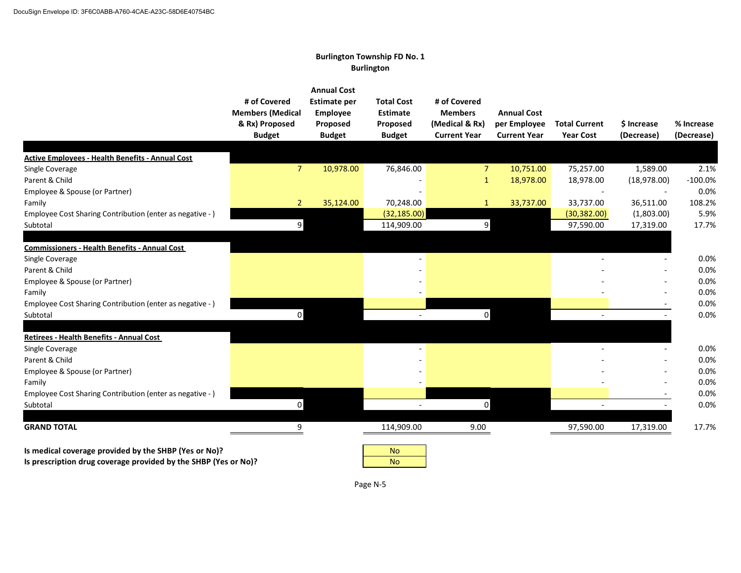|                                                           | # of Covered<br><b>Members (Medical</b><br>& Rx) Proposed<br><b>Budget</b> | <b>Annual Cost</b><br><b>Estimate per</b><br><b>Employee</b><br>Proposed<br><b>Budget</b> | <b>Total Cost</b><br><b>Estimate</b><br>Proposed<br><b>Budget</b> | # of Covered<br><b>Members</b><br>(Medical & Rx)<br><b>Current Year</b> | <b>Annual Cost</b><br>per Employee<br><b>Current Year</b> | <b>Total Current</b><br><b>Year Cost</b> | \$ Increase<br>(Decrease) | % Increase<br>(Decrease) |
|-----------------------------------------------------------|----------------------------------------------------------------------------|-------------------------------------------------------------------------------------------|-------------------------------------------------------------------|-------------------------------------------------------------------------|-----------------------------------------------------------|------------------------------------------|---------------------------|--------------------------|
| <b>Active Employees - Health Benefits - Annual Cost</b>   |                                                                            |                                                                                           |                                                                   |                                                                         |                                                           |                                          |                           |                          |
| Single Coverage                                           | 7 <sup>1</sup>                                                             | 10,978.00                                                                                 | 76,846.00                                                         | 7 <sup>2</sup>                                                          | 10,751.00                                                 | 75,257.00                                | 1,589.00                  | 2.1%                     |
| Parent & Child                                            |                                                                            |                                                                                           |                                                                   | $\mathbf{1}$                                                            | 18,978.00                                                 | 18,978.00                                | (18,978.00)               | $-100.0%$                |
| Employee & Spouse (or Partner)                            |                                                                            |                                                                                           |                                                                   |                                                                         |                                                           |                                          |                           | 0.0%                     |
| Family                                                    | $\mathbf{2}$                                                               | 35,124.00                                                                                 | 70,248.00                                                         |                                                                         | 33,737.00                                                 | 33,737.00                                | 36,511.00                 | 108.2%                   |
| Employee Cost Sharing Contribution (enter as negative - ) |                                                                            |                                                                                           | (32, 185.00)                                                      |                                                                         |                                                           | (30, 382.00)                             | (1,803.00)                | 5.9%                     |
| Subtotal                                                  |                                                                            |                                                                                           | 114,909.00                                                        | 9                                                                       |                                                           | 97,590.00                                | 17,319.00                 | 17.7%                    |
|                                                           |                                                                            |                                                                                           |                                                                   |                                                                         |                                                           |                                          |                           |                          |
| <b>Commissioners - Health Benefits - Annual Cost</b>      |                                                                            |                                                                                           |                                                                   |                                                                         |                                                           |                                          |                           |                          |
| Single Coverage                                           |                                                                            |                                                                                           |                                                                   |                                                                         |                                                           |                                          |                           | 0.0%                     |
| Parent & Child                                            |                                                                            |                                                                                           |                                                                   |                                                                         |                                                           |                                          |                           | 0.0%                     |
| Employee & Spouse (or Partner)                            |                                                                            |                                                                                           |                                                                   |                                                                         |                                                           |                                          |                           | 0.0%                     |
| Family                                                    |                                                                            |                                                                                           |                                                                   |                                                                         |                                                           |                                          |                           | 0.0%                     |
| Employee Cost Sharing Contribution (enter as negative - ) |                                                                            |                                                                                           |                                                                   |                                                                         |                                                           |                                          |                           | 0.0%                     |
| Subtotal                                                  | $\overline{0}$                                                             |                                                                                           |                                                                   | 0                                                                       |                                                           | $\overline{\phantom{a}}$                 |                           | 0.0%                     |
|                                                           |                                                                            |                                                                                           |                                                                   |                                                                         |                                                           |                                          |                           |                          |
| Retirees - Health Benefits - Annual Cost                  |                                                                            |                                                                                           |                                                                   |                                                                         |                                                           |                                          |                           |                          |
| Single Coverage                                           |                                                                            |                                                                                           |                                                                   |                                                                         |                                                           |                                          |                           | 0.0%                     |
| Parent & Child                                            |                                                                            |                                                                                           |                                                                   |                                                                         |                                                           |                                          |                           | 0.0%                     |
| Employee & Spouse (or Partner)                            |                                                                            |                                                                                           |                                                                   |                                                                         |                                                           |                                          |                           | 0.0%                     |
| Family                                                    |                                                                            |                                                                                           |                                                                   |                                                                         |                                                           |                                          |                           | 0.0%                     |
| Employee Cost Sharing Contribution (enter as negative - ) |                                                                            |                                                                                           |                                                                   |                                                                         |                                                           |                                          |                           | 0.0%                     |
| Subtotal                                                  | $\Omega$                                                                   |                                                                                           |                                                                   | $\overline{0}$                                                          |                                                           | $\overline{\phantom{a}}$                 |                           | 0.0%                     |
|                                                           |                                                                            |                                                                                           |                                                                   |                                                                         |                                                           |                                          |                           |                          |
| <b>GRAND TOTAL</b>                                        | 9                                                                          |                                                                                           | 114,909.00                                                        | 9.00                                                                    |                                                           | 97,590.00                                | 17,319.00                 | 17.7%                    |
| Is medical coverage provided by the SHBP (Yes or No)?     |                                                                            |                                                                                           | <b>No</b>                                                         |                                                                         |                                                           |                                          |                           |                          |

**Is prescription drug coverage provided by the SHBP (Yes or No)?**

| <b>No</b> |
|-----------|
| No        |

Page N-5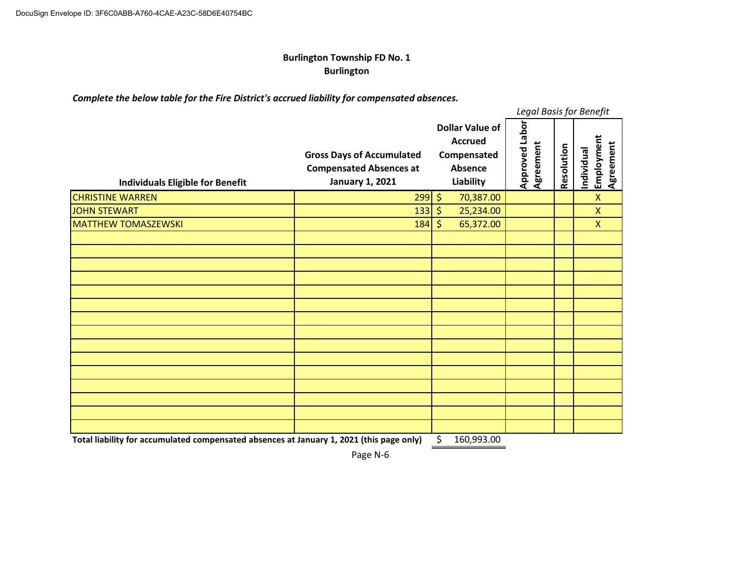*Complete the below table for the Fire District's accrued liability for compensated absences.* 

|                                         |                                                                                              |                                                                          | Legal Basis for Benefit            |            |                                       |
|-----------------------------------------|----------------------------------------------------------------------------------------------|--------------------------------------------------------------------------|------------------------------------|------------|---------------------------------------|
| <b>Individuals Eligible for Benefit</b> | <b>Gross Days of Accumulated</b><br><b>Compensated Absences at</b><br><b>January 1, 2021</b> | Dollar Value of<br><b>Accrued</b><br>Compensated<br>Absence<br>Liability | <b>Approved Labor</b><br>Agreement | Resolution | Employment<br>Agreement<br>Individual |
| <b>CHRISTINE WARREN</b>                 | $299$ \$                                                                                     | 70,387.00                                                                |                                    |            | $\mathsf{X}$                          |
| JOHN STEWART                            | 133                                                                                          | $\frac{1}{2}$<br>25,234.00                                               |                                    |            | $\boldsymbol{\mathsf{X}}$             |
| <b>MATTHEW TOMASZEWSKI</b>              | 184                                                                                          | $\zeta$<br>65,372.00                                                     |                                    |            | $\mathsf{X}$                          |
|                                         |                                                                                              |                                                                          |                                    |            |                                       |
|                                         |                                                                                              |                                                                          |                                    |            |                                       |
|                                         |                                                                                              |                                                                          |                                    |            |                                       |
|                                         |                                                                                              |                                                                          |                                    |            |                                       |
|                                         |                                                                                              |                                                                          |                                    |            |                                       |
|                                         |                                                                                              |                                                                          |                                    |            |                                       |
|                                         |                                                                                              |                                                                          |                                    |            |                                       |

\$ 160,993.00 **Total liability for accumulated compensated absences at January 1, 2021 (this page only)**

Page N-6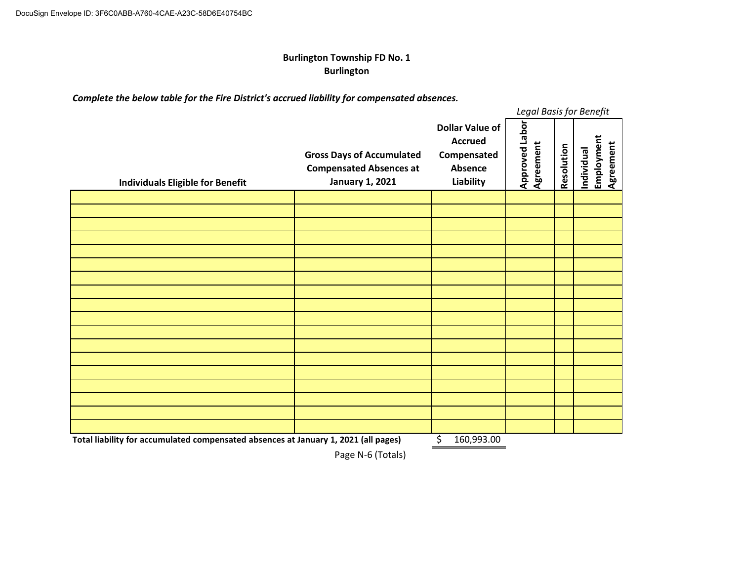*Complete the below table for the Fire District's accrued liability for compensated absences.* 

|                                         | $ -$                                                                                         |                                                                                 | Legal Basis for Benefit            |            |                                       |
|-----------------------------------------|----------------------------------------------------------------------------------------------|---------------------------------------------------------------------------------|------------------------------------|------------|---------------------------------------|
| <b>Individuals Eligible for Benefit</b> | <b>Gross Days of Accumulated</b><br><b>Compensated Absences at</b><br><b>January 1, 2021</b> | <b>Dollar Value of</b><br><b>Accrued</b><br>Compensated<br>Absence<br>Liability | <b>Approved Labor</b><br>Agreement | Resolution | Individual<br>Employment<br>Agreement |
|                                         |                                                                                              |                                                                                 |                                    |            |                                       |
|                                         |                                                                                              |                                                                                 |                                    |            |                                       |
|                                         |                                                                                              |                                                                                 |                                    |            |                                       |
|                                         |                                                                                              |                                                                                 |                                    |            |                                       |
|                                         |                                                                                              |                                                                                 |                                    |            |                                       |
|                                         |                                                                                              |                                                                                 |                                    |            |                                       |
|                                         |                                                                                              |                                                                                 |                                    |            |                                       |
|                                         |                                                                                              |                                                                                 |                                    |            |                                       |
|                                         |                                                                                              |                                                                                 |                                    |            |                                       |
|                                         |                                                                                              |                                                                                 |                                    |            |                                       |
|                                         |                                                                                              |                                                                                 |                                    |            |                                       |
|                                         |                                                                                              |                                                                                 |                                    |            |                                       |
|                                         |                                                                                              |                                                                                 |                                    |            |                                       |
|                                         |                                                                                              |                                                                                 |                                    |            |                                       |
|                                         |                                                                                              |                                                                                 |                                    |            |                                       |
|                                         |                                                                                              |                                                                                 |                                    |            |                                       |
|                                         | $\sim$ $\sim$                                                                                | $\lambda$ $\lambda$ $\lambda$ $\lambda$ $\lambda$ $\lambda$ $\lambda$ $\lambda$ |                                    |            |                                       |

**Total liability for accumulated compensated absences at January 1, 2021 (all pages)**

\$ 160,993.00

Page N-6 (Totals)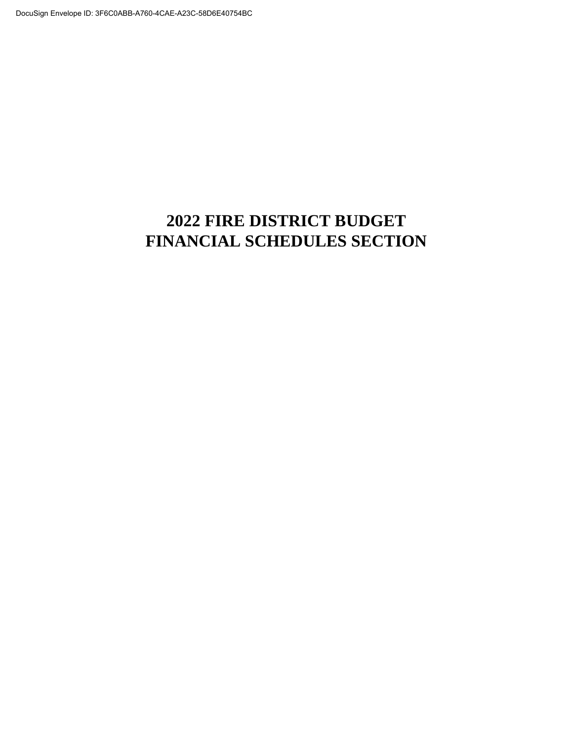### **2022 FIRE DISTRICT BUDGET FINANCIAL SCHEDULES SECTION**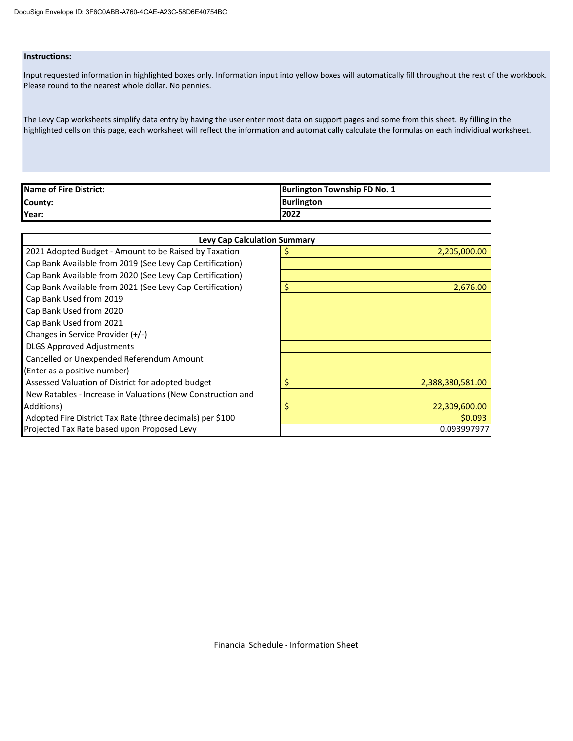#### **Instructions:**

Input requested information in highlighted boxes only. Information input into yellow boxes will automatically fill throughout the rest of the workbook. Please round to the nearest whole dollar. No pennies.

The Levy Cap worksheets simplify data entry by having the user enter most data on support pages and some from this sheet. By filling in the highlighted cells on this page, each worksheet will reflect the information and automatically calculate the formulas on each individiual worksheet.

| Name of Fire District: | <b>Burlington Township FD No. 1</b> |  |  |
|------------------------|-------------------------------------|--|--|
| County:                | Burlington                          |  |  |
| Year:                  | 2022                                |  |  |

| <b>Levy Cap Calculation Summary</b>                         |                    |  |  |  |  |
|-------------------------------------------------------------|--------------------|--|--|--|--|
| 2021 Adopted Budget - Amount to be Raised by Taxation       | 2,205,000.00       |  |  |  |  |
| Cap Bank Available from 2019 (See Levy Cap Certification)   |                    |  |  |  |  |
| Cap Bank Available from 2020 (See Levy Cap Certification)   |                    |  |  |  |  |
| Cap Bank Available from 2021 (See Levy Cap Certification)   | Ś<br>2,676.00      |  |  |  |  |
| Cap Bank Used from 2019                                     |                    |  |  |  |  |
| Cap Bank Used from 2020                                     |                    |  |  |  |  |
| Cap Bank Used from 2021                                     |                    |  |  |  |  |
| Changes in Service Provider (+/-)                           |                    |  |  |  |  |
| <b>DLGS Approved Adjustments</b>                            |                    |  |  |  |  |
| Cancelled or Unexpended Referendum Amount                   |                    |  |  |  |  |
| (Enter as a positive number)                                |                    |  |  |  |  |
| Assessed Valuation of District for adopted budget           | 2,388,380,581.00   |  |  |  |  |
| New Ratables - Increase in Valuations (New Construction and |                    |  |  |  |  |
| Additions)                                                  | Ş<br>22,309,600.00 |  |  |  |  |
| Adopted Fire District Tax Rate (three decimals) per \$100   | \$0.093            |  |  |  |  |
| Projected Tax Rate based upon Proposed Levy                 | 0.093997977        |  |  |  |  |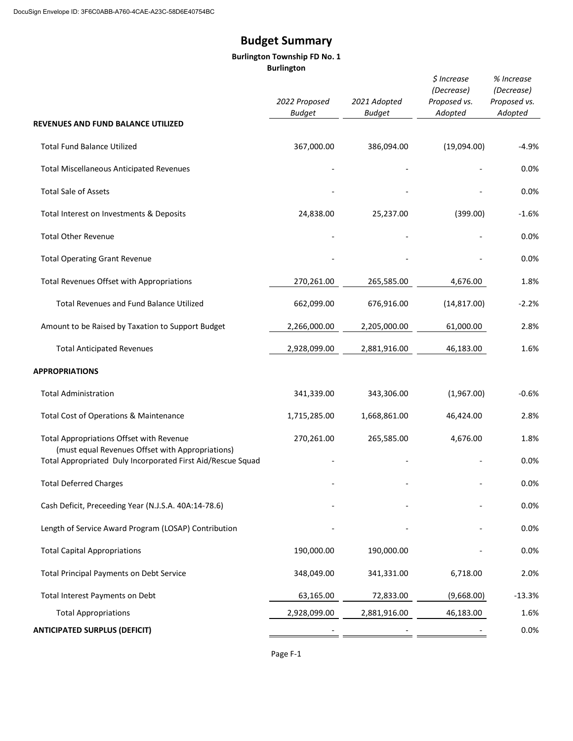### **Budget Summary**

### **Burlington Township FD No. 1**

**Burlington**

|                                                                                                     | 2022 Proposed<br><b>Budget</b> | 2021 Adopted<br><b>Budget</b> | $$$ Increase<br>(Decrease)<br>Proposed vs.<br>Adopted | % Increase<br>(Decrease)<br>Proposed vs.<br>Adopted |
|-----------------------------------------------------------------------------------------------------|--------------------------------|-------------------------------|-------------------------------------------------------|-----------------------------------------------------|
| REVENUES AND FUND BALANCE UTILIZED                                                                  |                                |                               |                                                       |                                                     |
| <b>Total Fund Balance Utilized</b>                                                                  | 367,000.00                     | 386,094.00                    | (19,094.00)                                           | $-4.9%$                                             |
| <b>Total Miscellaneous Anticipated Revenues</b>                                                     |                                |                               |                                                       | 0.0%                                                |
| <b>Total Sale of Assets</b>                                                                         |                                |                               |                                                       | 0.0%                                                |
| Total Interest on Investments & Deposits                                                            | 24,838.00                      | 25,237.00                     | (399.00)                                              | $-1.6%$                                             |
| <b>Total Other Revenue</b>                                                                          |                                |                               |                                                       | 0.0%                                                |
| <b>Total Operating Grant Revenue</b>                                                                |                                |                               |                                                       | 0.0%                                                |
| Total Revenues Offset with Appropriations                                                           | 270,261.00                     | 265,585.00                    | 4,676.00                                              | 1.8%                                                |
| <b>Total Revenues and Fund Balance Utilized</b>                                                     | 662,099.00                     | 676,916.00                    | (14, 817.00)                                          | $-2.2%$                                             |
| Amount to be Raised by Taxation to Support Budget                                                   | 2,266,000.00                   | 2,205,000.00                  | 61,000.00                                             | 2.8%                                                |
| <b>Total Anticipated Revenues</b>                                                                   | 2,928,099.00                   | 2,881,916.00                  | 46,183.00                                             | 1.6%                                                |
| <b>APPROPRIATIONS</b>                                                                               |                                |                               |                                                       |                                                     |
| <b>Total Administration</b>                                                                         | 341,339.00                     | 343,306.00                    | (1,967.00)                                            | $-0.6%$                                             |
| Total Cost of Operations & Maintenance                                                              | 1,715,285.00                   | 1,668,861.00                  | 46,424.00                                             | 2.8%                                                |
| <b>Total Appropriations Offset with Revenue</b><br>(must equal Revenues Offset with Appropriations) | 270,261.00                     | 265,585.00                    | 4,676.00                                              | 1.8%                                                |
| Total Appropriated Duly Incorporated First Aid/Rescue Squad                                         |                                |                               |                                                       | 0.0%                                                |
| <b>Total Deferred Charges</b>                                                                       |                                |                               |                                                       | 0.0%                                                |
| Cash Deficit, Preceeding Year (N.J.S.A. 40A:14-78.6)                                                |                                |                               |                                                       | 0.0%                                                |
| Length of Service Award Program (LOSAP) Contribution                                                |                                |                               |                                                       | 0.0%                                                |
| <b>Total Capital Appropriations</b>                                                                 | 190,000.00                     | 190,000.00                    |                                                       | 0.0%                                                |
| <b>Total Principal Payments on Debt Service</b>                                                     | 348,049.00                     | 341,331.00                    | 6,718.00                                              | 2.0%                                                |
| Total Interest Payments on Debt                                                                     | 63,165.00                      | 72,833.00                     | (9,668.00)                                            | $-13.3%$                                            |
| <b>Total Appropriations</b>                                                                         | 2,928,099.00                   | 2,881,916.00                  | 46,183.00                                             | 1.6%                                                |
| <b>ANTICIPATED SURPLUS (DEFICIT)</b>                                                                |                                |                               |                                                       | 0.0%                                                |

Page F-1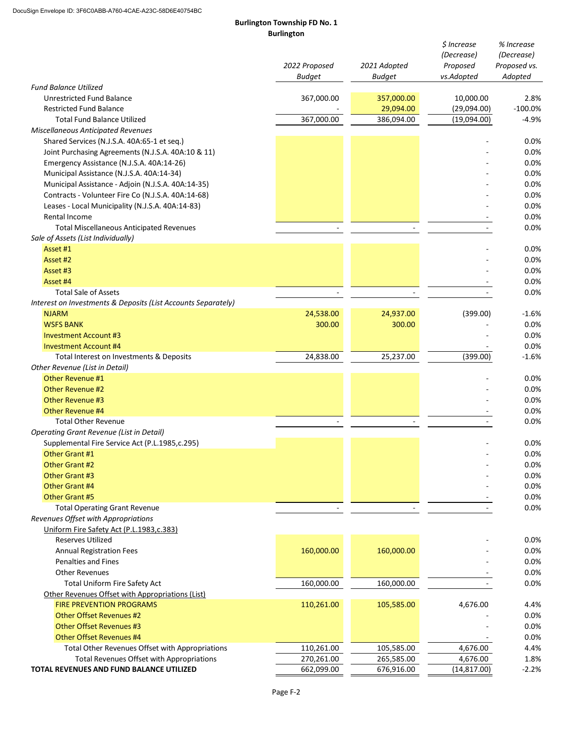| <b>Fund Balance Utilized</b><br><b>Unrestricted Fund Balance</b><br>367,000.00<br>357,000.00<br>10,000.00<br>2.8%<br>29,094.00<br>$-100.0%$<br><b>Restricted Fund Balance</b><br>(29,094.00)<br><b>Total Fund Balance Utilized</b><br>367,000.00<br>$-4.9%$<br>386,094.00<br>(19,094.00)<br><b>Miscellaneous Anticipated Revenues</b><br>Shared Services (N.J.S.A. 40A:65-1 et seq.)<br>0.0%<br>Joint Purchasing Agreements (N.J.S.A. 40A:10 & 11)<br>0.0%<br>Emergency Assistance (N.J.S.A. 40A:14-26)<br>0.0%<br>0.0%<br>Municipal Assistance (N.J.S.A. 40A:14-34)<br>0.0%<br>Municipal Assistance - Adjoin (N.J.S.A. 40A:14-35)<br>Contracts - Volunteer Fire Co (N.J.S.A. 40A:14-68)<br>0.0%<br>0.0%<br>Leases - Local Municipality (N.J.S.A. 40A:14-83)<br>Rental Income<br>0.0%<br>0.0%<br><b>Total Miscellaneous Anticipated Revenues</b><br>Sale of Assets (List Individually)<br>Asset #1<br>0.0%<br>Asset #2<br>0.0%<br>Asset #3<br>0.0%<br>0.0%<br>Asset #4<br><b>Total Sale of Assets</b><br>0.0%<br>Interest on Investments & Deposits (List Accounts Separately)<br><b>NJARM</b><br>24,538.00<br>24,937.00<br>(399.00)<br>$-1.6%$<br><b>WSFS BANK</b><br>300.00<br>300.00<br>0.0%<br>0.0%<br><b>Investment Account #3</b><br>0.0%<br><b>Investment Account #4</b><br>24,838.00<br>25,237.00<br>Total Interest on Investments & Deposits<br>(399.00)<br>$-1.6%$<br>Other Revenue (List in Detail)<br><b>Other Revenue #1</b><br>0.0%<br>0.0%<br><b>Other Revenue #2</b><br>0.0%<br><b>Other Revenue #3</b><br><b>Other Revenue #4</b><br>0.0%<br><b>Total Other Revenue</b><br>0.0%<br><b>Operating Grant Revenue (List in Detail)</b><br>Supplemental Fire Service Act (P.L.1985,c.295)<br>0.0%<br>Other Grant #1<br>0.0%<br>Other Grant #2<br>0.0%<br>Other Grant #3<br>0.0%<br>Other Grant #4<br>0.0%<br>0.0%<br><b>Other Grant #5</b><br>0.0%<br><b>Total Operating Grant Revenue</b><br>Revenues Offset with Appropriations<br>Uniform Fire Safety Act (P.L.1983,c.383)<br><b>Reserves Utilized</b><br>0.0%<br>0.0%<br><b>Annual Registration Fees</b><br>160,000.00<br>160,000.00<br>Penalties and Fines<br>0.0%<br><b>Other Revenues</b><br>0.0%<br><b>Total Uniform Fire Safety Act</b><br>160,000.00<br>160,000.00<br>0.0%<br>Other Revenues Offset with Appropriations (List)<br><b>FIRE PREVENTION PROGRAMS</b><br>110,261.00<br>105,585.00<br>4.4%<br>4,676.00<br>0.0%<br>Other Offset Revenues #2<br>Other Offset Revenues #3<br>0.0%<br>Other Offset Revenues #4<br>0.0%<br>110,261.00<br>105,585.00<br>4,676.00<br>Total Other Revenues Offset with Appropriations<br>4.4%<br>Total Revenues Offset with Appropriations<br>4,676.00<br>1.8%<br>270,261.00<br>265,585.00<br>TOTAL REVENUES AND FUND BALANCE UTILIZED<br>662,099.00<br>676,916.00<br>(14, 817.00)<br>$-2.2%$ | 2022 Proposed<br><b>Budget</b> | 2021 Adopted<br><b>Budget</b> | $$$ Increase<br>(Decrease)<br>Proposed<br>vs.Adopted | % Increase<br>(Decrease)<br>Proposed vs.<br>Adopted |
|--------------------------------------------------------------------------------------------------------------------------------------------------------------------------------------------------------------------------------------------------------------------------------------------------------------------------------------------------------------------------------------------------------------------------------------------------------------------------------------------------------------------------------------------------------------------------------------------------------------------------------------------------------------------------------------------------------------------------------------------------------------------------------------------------------------------------------------------------------------------------------------------------------------------------------------------------------------------------------------------------------------------------------------------------------------------------------------------------------------------------------------------------------------------------------------------------------------------------------------------------------------------------------------------------------------------------------------------------------------------------------------------------------------------------------------------------------------------------------------------------------------------------------------------------------------------------------------------------------------------------------------------------------------------------------------------------------------------------------------------------------------------------------------------------------------------------------------------------------------------------------------------------------------------------------------------------------------------------------------------------------------------------------------------------------------------------------------------------------------------------------------------------------------------------------------------------------------------------------------------------------------------------------------------------------------------------------------------------------------------------------------------------------------------------------------------------------------------------------------------------------------------------------------------------------------------------------------------------------------------------------------------------------------------------------------------------------------------------------------------------------------------------------------------------------|--------------------------------|-------------------------------|------------------------------------------------------|-----------------------------------------------------|
|                                                                                                                                                                                                                                                                                                                                                                                                                                                                                                                                                                                                                                                                                                                                                                                                                                                                                                                                                                                                                                                                                                                                                                                                                                                                                                                                                                                                                                                                                                                                                                                                                                                                                                                                                                                                                                                                                                                                                                                                                                                                                                                                                                                                                                                                                                                                                                                                                                                                                                                                                                                                                                                                                                                                                                                                        |                                |                               |                                                      |                                                     |
|                                                                                                                                                                                                                                                                                                                                                                                                                                                                                                                                                                                                                                                                                                                                                                                                                                                                                                                                                                                                                                                                                                                                                                                                                                                                                                                                                                                                                                                                                                                                                                                                                                                                                                                                                                                                                                                                                                                                                                                                                                                                                                                                                                                                                                                                                                                                                                                                                                                                                                                                                                                                                                                                                                                                                                                                        |                                |                               |                                                      |                                                     |
|                                                                                                                                                                                                                                                                                                                                                                                                                                                                                                                                                                                                                                                                                                                                                                                                                                                                                                                                                                                                                                                                                                                                                                                                                                                                                                                                                                                                                                                                                                                                                                                                                                                                                                                                                                                                                                                                                                                                                                                                                                                                                                                                                                                                                                                                                                                                                                                                                                                                                                                                                                                                                                                                                                                                                                                                        |                                |                               |                                                      |                                                     |
|                                                                                                                                                                                                                                                                                                                                                                                                                                                                                                                                                                                                                                                                                                                                                                                                                                                                                                                                                                                                                                                                                                                                                                                                                                                                                                                                                                                                                                                                                                                                                                                                                                                                                                                                                                                                                                                                                                                                                                                                                                                                                                                                                                                                                                                                                                                                                                                                                                                                                                                                                                                                                                                                                                                                                                                                        |                                |                               |                                                      |                                                     |
|                                                                                                                                                                                                                                                                                                                                                                                                                                                                                                                                                                                                                                                                                                                                                                                                                                                                                                                                                                                                                                                                                                                                                                                                                                                                                                                                                                                                                                                                                                                                                                                                                                                                                                                                                                                                                                                                                                                                                                                                                                                                                                                                                                                                                                                                                                                                                                                                                                                                                                                                                                                                                                                                                                                                                                                                        |                                |                               |                                                      |                                                     |
|                                                                                                                                                                                                                                                                                                                                                                                                                                                                                                                                                                                                                                                                                                                                                                                                                                                                                                                                                                                                                                                                                                                                                                                                                                                                                                                                                                                                                                                                                                                                                                                                                                                                                                                                                                                                                                                                                                                                                                                                                                                                                                                                                                                                                                                                                                                                                                                                                                                                                                                                                                                                                                                                                                                                                                                                        |                                |                               |                                                      |                                                     |
|                                                                                                                                                                                                                                                                                                                                                                                                                                                                                                                                                                                                                                                                                                                                                                                                                                                                                                                                                                                                                                                                                                                                                                                                                                                                                                                                                                                                                                                                                                                                                                                                                                                                                                                                                                                                                                                                                                                                                                                                                                                                                                                                                                                                                                                                                                                                                                                                                                                                                                                                                                                                                                                                                                                                                                                                        |                                |                               |                                                      |                                                     |
|                                                                                                                                                                                                                                                                                                                                                                                                                                                                                                                                                                                                                                                                                                                                                                                                                                                                                                                                                                                                                                                                                                                                                                                                                                                                                                                                                                                                                                                                                                                                                                                                                                                                                                                                                                                                                                                                                                                                                                                                                                                                                                                                                                                                                                                                                                                                                                                                                                                                                                                                                                                                                                                                                                                                                                                                        |                                |                               |                                                      |                                                     |
|                                                                                                                                                                                                                                                                                                                                                                                                                                                                                                                                                                                                                                                                                                                                                                                                                                                                                                                                                                                                                                                                                                                                                                                                                                                                                                                                                                                                                                                                                                                                                                                                                                                                                                                                                                                                                                                                                                                                                                                                                                                                                                                                                                                                                                                                                                                                                                                                                                                                                                                                                                                                                                                                                                                                                                                                        |                                |                               |                                                      |                                                     |
|                                                                                                                                                                                                                                                                                                                                                                                                                                                                                                                                                                                                                                                                                                                                                                                                                                                                                                                                                                                                                                                                                                                                                                                                                                                                                                                                                                                                                                                                                                                                                                                                                                                                                                                                                                                                                                                                                                                                                                                                                                                                                                                                                                                                                                                                                                                                                                                                                                                                                                                                                                                                                                                                                                                                                                                                        |                                |                               |                                                      |                                                     |
|                                                                                                                                                                                                                                                                                                                                                                                                                                                                                                                                                                                                                                                                                                                                                                                                                                                                                                                                                                                                                                                                                                                                                                                                                                                                                                                                                                                                                                                                                                                                                                                                                                                                                                                                                                                                                                                                                                                                                                                                                                                                                                                                                                                                                                                                                                                                                                                                                                                                                                                                                                                                                                                                                                                                                                                                        |                                |                               |                                                      |                                                     |
|                                                                                                                                                                                                                                                                                                                                                                                                                                                                                                                                                                                                                                                                                                                                                                                                                                                                                                                                                                                                                                                                                                                                                                                                                                                                                                                                                                                                                                                                                                                                                                                                                                                                                                                                                                                                                                                                                                                                                                                                                                                                                                                                                                                                                                                                                                                                                                                                                                                                                                                                                                                                                                                                                                                                                                                                        |                                |                               |                                                      |                                                     |
|                                                                                                                                                                                                                                                                                                                                                                                                                                                                                                                                                                                                                                                                                                                                                                                                                                                                                                                                                                                                                                                                                                                                                                                                                                                                                                                                                                                                                                                                                                                                                                                                                                                                                                                                                                                                                                                                                                                                                                                                                                                                                                                                                                                                                                                                                                                                                                                                                                                                                                                                                                                                                                                                                                                                                                                                        |                                |                               |                                                      |                                                     |
|                                                                                                                                                                                                                                                                                                                                                                                                                                                                                                                                                                                                                                                                                                                                                                                                                                                                                                                                                                                                                                                                                                                                                                                                                                                                                                                                                                                                                                                                                                                                                                                                                                                                                                                                                                                                                                                                                                                                                                                                                                                                                                                                                                                                                                                                                                                                                                                                                                                                                                                                                                                                                                                                                                                                                                                                        |                                |                               |                                                      |                                                     |
|                                                                                                                                                                                                                                                                                                                                                                                                                                                                                                                                                                                                                                                                                                                                                                                                                                                                                                                                                                                                                                                                                                                                                                                                                                                                                                                                                                                                                                                                                                                                                                                                                                                                                                                                                                                                                                                                                                                                                                                                                                                                                                                                                                                                                                                                                                                                                                                                                                                                                                                                                                                                                                                                                                                                                                                                        |                                |                               |                                                      |                                                     |
|                                                                                                                                                                                                                                                                                                                                                                                                                                                                                                                                                                                                                                                                                                                                                                                                                                                                                                                                                                                                                                                                                                                                                                                                                                                                                                                                                                                                                                                                                                                                                                                                                                                                                                                                                                                                                                                                                                                                                                                                                                                                                                                                                                                                                                                                                                                                                                                                                                                                                                                                                                                                                                                                                                                                                                                                        |                                |                               |                                                      |                                                     |
|                                                                                                                                                                                                                                                                                                                                                                                                                                                                                                                                                                                                                                                                                                                                                                                                                                                                                                                                                                                                                                                                                                                                                                                                                                                                                                                                                                                                                                                                                                                                                                                                                                                                                                                                                                                                                                                                                                                                                                                                                                                                                                                                                                                                                                                                                                                                                                                                                                                                                                                                                                                                                                                                                                                                                                                                        |                                |                               |                                                      |                                                     |
|                                                                                                                                                                                                                                                                                                                                                                                                                                                                                                                                                                                                                                                                                                                                                                                                                                                                                                                                                                                                                                                                                                                                                                                                                                                                                                                                                                                                                                                                                                                                                                                                                                                                                                                                                                                                                                                                                                                                                                                                                                                                                                                                                                                                                                                                                                                                                                                                                                                                                                                                                                                                                                                                                                                                                                                                        |                                |                               |                                                      |                                                     |
|                                                                                                                                                                                                                                                                                                                                                                                                                                                                                                                                                                                                                                                                                                                                                                                                                                                                                                                                                                                                                                                                                                                                                                                                                                                                                                                                                                                                                                                                                                                                                                                                                                                                                                                                                                                                                                                                                                                                                                                                                                                                                                                                                                                                                                                                                                                                                                                                                                                                                                                                                                                                                                                                                                                                                                                                        |                                |                               |                                                      |                                                     |
|                                                                                                                                                                                                                                                                                                                                                                                                                                                                                                                                                                                                                                                                                                                                                                                                                                                                                                                                                                                                                                                                                                                                                                                                                                                                                                                                                                                                                                                                                                                                                                                                                                                                                                                                                                                                                                                                                                                                                                                                                                                                                                                                                                                                                                                                                                                                                                                                                                                                                                                                                                                                                                                                                                                                                                                                        |                                |                               |                                                      |                                                     |
|                                                                                                                                                                                                                                                                                                                                                                                                                                                                                                                                                                                                                                                                                                                                                                                                                                                                                                                                                                                                                                                                                                                                                                                                                                                                                                                                                                                                                                                                                                                                                                                                                                                                                                                                                                                                                                                                                                                                                                                                                                                                                                                                                                                                                                                                                                                                                                                                                                                                                                                                                                                                                                                                                                                                                                                                        |                                |                               |                                                      |                                                     |
|                                                                                                                                                                                                                                                                                                                                                                                                                                                                                                                                                                                                                                                                                                                                                                                                                                                                                                                                                                                                                                                                                                                                                                                                                                                                                                                                                                                                                                                                                                                                                                                                                                                                                                                                                                                                                                                                                                                                                                                                                                                                                                                                                                                                                                                                                                                                                                                                                                                                                                                                                                                                                                                                                                                                                                                                        |                                |                               |                                                      |                                                     |
|                                                                                                                                                                                                                                                                                                                                                                                                                                                                                                                                                                                                                                                                                                                                                                                                                                                                                                                                                                                                                                                                                                                                                                                                                                                                                                                                                                                                                                                                                                                                                                                                                                                                                                                                                                                                                                                                                                                                                                                                                                                                                                                                                                                                                                                                                                                                                                                                                                                                                                                                                                                                                                                                                                                                                                                                        |                                |                               |                                                      |                                                     |
|                                                                                                                                                                                                                                                                                                                                                                                                                                                                                                                                                                                                                                                                                                                                                                                                                                                                                                                                                                                                                                                                                                                                                                                                                                                                                                                                                                                                                                                                                                                                                                                                                                                                                                                                                                                                                                                                                                                                                                                                                                                                                                                                                                                                                                                                                                                                                                                                                                                                                                                                                                                                                                                                                                                                                                                                        |                                |                               |                                                      |                                                     |
|                                                                                                                                                                                                                                                                                                                                                                                                                                                                                                                                                                                                                                                                                                                                                                                                                                                                                                                                                                                                                                                                                                                                                                                                                                                                                                                                                                                                                                                                                                                                                                                                                                                                                                                                                                                                                                                                                                                                                                                                                                                                                                                                                                                                                                                                                                                                                                                                                                                                                                                                                                                                                                                                                                                                                                                                        |                                |                               |                                                      |                                                     |
|                                                                                                                                                                                                                                                                                                                                                                                                                                                                                                                                                                                                                                                                                                                                                                                                                                                                                                                                                                                                                                                                                                                                                                                                                                                                                                                                                                                                                                                                                                                                                                                                                                                                                                                                                                                                                                                                                                                                                                                                                                                                                                                                                                                                                                                                                                                                                                                                                                                                                                                                                                                                                                                                                                                                                                                                        |                                |                               |                                                      |                                                     |
|                                                                                                                                                                                                                                                                                                                                                                                                                                                                                                                                                                                                                                                                                                                                                                                                                                                                                                                                                                                                                                                                                                                                                                                                                                                                                                                                                                                                                                                                                                                                                                                                                                                                                                                                                                                                                                                                                                                                                                                                                                                                                                                                                                                                                                                                                                                                                                                                                                                                                                                                                                                                                                                                                                                                                                                                        |                                |                               |                                                      |                                                     |
|                                                                                                                                                                                                                                                                                                                                                                                                                                                                                                                                                                                                                                                                                                                                                                                                                                                                                                                                                                                                                                                                                                                                                                                                                                                                                                                                                                                                                                                                                                                                                                                                                                                                                                                                                                                                                                                                                                                                                                                                                                                                                                                                                                                                                                                                                                                                                                                                                                                                                                                                                                                                                                                                                                                                                                                                        |                                |                               |                                                      |                                                     |
|                                                                                                                                                                                                                                                                                                                                                                                                                                                                                                                                                                                                                                                                                                                                                                                                                                                                                                                                                                                                                                                                                                                                                                                                                                                                                                                                                                                                                                                                                                                                                                                                                                                                                                                                                                                                                                                                                                                                                                                                                                                                                                                                                                                                                                                                                                                                                                                                                                                                                                                                                                                                                                                                                                                                                                                                        |                                |                               |                                                      |                                                     |
|                                                                                                                                                                                                                                                                                                                                                                                                                                                                                                                                                                                                                                                                                                                                                                                                                                                                                                                                                                                                                                                                                                                                                                                                                                                                                                                                                                                                                                                                                                                                                                                                                                                                                                                                                                                                                                                                                                                                                                                                                                                                                                                                                                                                                                                                                                                                                                                                                                                                                                                                                                                                                                                                                                                                                                                                        |                                |                               |                                                      |                                                     |
|                                                                                                                                                                                                                                                                                                                                                                                                                                                                                                                                                                                                                                                                                                                                                                                                                                                                                                                                                                                                                                                                                                                                                                                                                                                                                                                                                                                                                                                                                                                                                                                                                                                                                                                                                                                                                                                                                                                                                                                                                                                                                                                                                                                                                                                                                                                                                                                                                                                                                                                                                                                                                                                                                                                                                                                                        |                                |                               |                                                      |                                                     |
|                                                                                                                                                                                                                                                                                                                                                                                                                                                                                                                                                                                                                                                                                                                                                                                                                                                                                                                                                                                                                                                                                                                                                                                                                                                                                                                                                                                                                                                                                                                                                                                                                                                                                                                                                                                                                                                                                                                                                                                                                                                                                                                                                                                                                                                                                                                                                                                                                                                                                                                                                                                                                                                                                                                                                                                                        |                                |                               |                                                      |                                                     |
|                                                                                                                                                                                                                                                                                                                                                                                                                                                                                                                                                                                                                                                                                                                                                                                                                                                                                                                                                                                                                                                                                                                                                                                                                                                                                                                                                                                                                                                                                                                                                                                                                                                                                                                                                                                                                                                                                                                                                                                                                                                                                                                                                                                                                                                                                                                                                                                                                                                                                                                                                                                                                                                                                                                                                                                                        |                                |                               |                                                      |                                                     |
|                                                                                                                                                                                                                                                                                                                                                                                                                                                                                                                                                                                                                                                                                                                                                                                                                                                                                                                                                                                                                                                                                                                                                                                                                                                                                                                                                                                                                                                                                                                                                                                                                                                                                                                                                                                                                                                                                                                                                                                                                                                                                                                                                                                                                                                                                                                                                                                                                                                                                                                                                                                                                                                                                                                                                                                                        |                                |                               |                                                      |                                                     |
|                                                                                                                                                                                                                                                                                                                                                                                                                                                                                                                                                                                                                                                                                                                                                                                                                                                                                                                                                                                                                                                                                                                                                                                                                                                                                                                                                                                                                                                                                                                                                                                                                                                                                                                                                                                                                                                                                                                                                                                                                                                                                                                                                                                                                                                                                                                                                                                                                                                                                                                                                                                                                                                                                                                                                                                                        |                                |                               |                                                      |                                                     |
|                                                                                                                                                                                                                                                                                                                                                                                                                                                                                                                                                                                                                                                                                                                                                                                                                                                                                                                                                                                                                                                                                                                                                                                                                                                                                                                                                                                                                                                                                                                                                                                                                                                                                                                                                                                                                                                                                                                                                                                                                                                                                                                                                                                                                                                                                                                                                                                                                                                                                                                                                                                                                                                                                                                                                                                                        |                                |                               |                                                      |                                                     |
|                                                                                                                                                                                                                                                                                                                                                                                                                                                                                                                                                                                                                                                                                                                                                                                                                                                                                                                                                                                                                                                                                                                                                                                                                                                                                                                                                                                                                                                                                                                                                                                                                                                                                                                                                                                                                                                                                                                                                                                                                                                                                                                                                                                                                                                                                                                                                                                                                                                                                                                                                                                                                                                                                                                                                                                                        |                                |                               |                                                      |                                                     |
|                                                                                                                                                                                                                                                                                                                                                                                                                                                                                                                                                                                                                                                                                                                                                                                                                                                                                                                                                                                                                                                                                                                                                                                                                                                                                                                                                                                                                                                                                                                                                                                                                                                                                                                                                                                                                                                                                                                                                                                                                                                                                                                                                                                                                                                                                                                                                                                                                                                                                                                                                                                                                                                                                                                                                                                                        |                                |                               |                                                      |                                                     |
|                                                                                                                                                                                                                                                                                                                                                                                                                                                                                                                                                                                                                                                                                                                                                                                                                                                                                                                                                                                                                                                                                                                                                                                                                                                                                                                                                                                                                                                                                                                                                                                                                                                                                                                                                                                                                                                                                                                                                                                                                                                                                                                                                                                                                                                                                                                                                                                                                                                                                                                                                                                                                                                                                                                                                                                                        |                                |                               |                                                      |                                                     |
|                                                                                                                                                                                                                                                                                                                                                                                                                                                                                                                                                                                                                                                                                                                                                                                                                                                                                                                                                                                                                                                                                                                                                                                                                                                                                                                                                                                                                                                                                                                                                                                                                                                                                                                                                                                                                                                                                                                                                                                                                                                                                                                                                                                                                                                                                                                                                                                                                                                                                                                                                                                                                                                                                                                                                                                                        |                                |                               |                                                      |                                                     |
|                                                                                                                                                                                                                                                                                                                                                                                                                                                                                                                                                                                                                                                                                                                                                                                                                                                                                                                                                                                                                                                                                                                                                                                                                                                                                                                                                                                                                                                                                                                                                                                                                                                                                                                                                                                                                                                                                                                                                                                                                                                                                                                                                                                                                                                                                                                                                                                                                                                                                                                                                                                                                                                                                                                                                                                                        |                                |                               |                                                      |                                                     |
|                                                                                                                                                                                                                                                                                                                                                                                                                                                                                                                                                                                                                                                                                                                                                                                                                                                                                                                                                                                                                                                                                                                                                                                                                                                                                                                                                                                                                                                                                                                                                                                                                                                                                                                                                                                                                                                                                                                                                                                                                                                                                                                                                                                                                                                                                                                                                                                                                                                                                                                                                                                                                                                                                                                                                                                                        |                                |                               |                                                      |                                                     |
|                                                                                                                                                                                                                                                                                                                                                                                                                                                                                                                                                                                                                                                                                                                                                                                                                                                                                                                                                                                                                                                                                                                                                                                                                                                                                                                                                                                                                                                                                                                                                                                                                                                                                                                                                                                                                                                                                                                                                                                                                                                                                                                                                                                                                                                                                                                                                                                                                                                                                                                                                                                                                                                                                                                                                                                                        |                                |                               |                                                      |                                                     |
|                                                                                                                                                                                                                                                                                                                                                                                                                                                                                                                                                                                                                                                                                                                                                                                                                                                                                                                                                                                                                                                                                                                                                                                                                                                                                                                                                                                                                                                                                                                                                                                                                                                                                                                                                                                                                                                                                                                                                                                                                                                                                                                                                                                                                                                                                                                                                                                                                                                                                                                                                                                                                                                                                                                                                                                                        |                                |                               |                                                      |                                                     |
|                                                                                                                                                                                                                                                                                                                                                                                                                                                                                                                                                                                                                                                                                                                                                                                                                                                                                                                                                                                                                                                                                                                                                                                                                                                                                                                                                                                                                                                                                                                                                                                                                                                                                                                                                                                                                                                                                                                                                                                                                                                                                                                                                                                                                                                                                                                                                                                                                                                                                                                                                                                                                                                                                                                                                                                                        |                                |                               |                                                      |                                                     |
|                                                                                                                                                                                                                                                                                                                                                                                                                                                                                                                                                                                                                                                                                                                                                                                                                                                                                                                                                                                                                                                                                                                                                                                                                                                                                                                                                                                                                                                                                                                                                                                                                                                                                                                                                                                                                                                                                                                                                                                                                                                                                                                                                                                                                                                                                                                                                                                                                                                                                                                                                                                                                                                                                                                                                                                                        |                                |                               |                                                      |                                                     |
|                                                                                                                                                                                                                                                                                                                                                                                                                                                                                                                                                                                                                                                                                                                                                                                                                                                                                                                                                                                                                                                                                                                                                                                                                                                                                                                                                                                                                                                                                                                                                                                                                                                                                                                                                                                                                                                                                                                                                                                                                                                                                                                                                                                                                                                                                                                                                                                                                                                                                                                                                                                                                                                                                                                                                                                                        |                                |                               |                                                      |                                                     |
|                                                                                                                                                                                                                                                                                                                                                                                                                                                                                                                                                                                                                                                                                                                                                                                                                                                                                                                                                                                                                                                                                                                                                                                                                                                                                                                                                                                                                                                                                                                                                                                                                                                                                                                                                                                                                                                                                                                                                                                                                                                                                                                                                                                                                                                                                                                                                                                                                                                                                                                                                                                                                                                                                                                                                                                                        |                                |                               |                                                      |                                                     |
|                                                                                                                                                                                                                                                                                                                                                                                                                                                                                                                                                                                                                                                                                                                                                                                                                                                                                                                                                                                                                                                                                                                                                                                                                                                                                                                                                                                                                                                                                                                                                                                                                                                                                                                                                                                                                                                                                                                                                                                                                                                                                                                                                                                                                                                                                                                                                                                                                                                                                                                                                                                                                                                                                                                                                                                                        |                                |                               |                                                      |                                                     |
|                                                                                                                                                                                                                                                                                                                                                                                                                                                                                                                                                                                                                                                                                                                                                                                                                                                                                                                                                                                                                                                                                                                                                                                                                                                                                                                                                                                                                                                                                                                                                                                                                                                                                                                                                                                                                                                                                                                                                                                                                                                                                                                                                                                                                                                                                                                                                                                                                                                                                                                                                                                                                                                                                                                                                                                                        |                                |                               |                                                      |                                                     |
|                                                                                                                                                                                                                                                                                                                                                                                                                                                                                                                                                                                                                                                                                                                                                                                                                                                                                                                                                                                                                                                                                                                                                                                                                                                                                                                                                                                                                                                                                                                                                                                                                                                                                                                                                                                                                                                                                                                                                                                                                                                                                                                                                                                                                                                                                                                                                                                                                                                                                                                                                                                                                                                                                                                                                                                                        |                                |                               |                                                      |                                                     |
|                                                                                                                                                                                                                                                                                                                                                                                                                                                                                                                                                                                                                                                                                                                                                                                                                                                                                                                                                                                                                                                                                                                                                                                                                                                                                                                                                                                                                                                                                                                                                                                                                                                                                                                                                                                                                                                                                                                                                                                                                                                                                                                                                                                                                                                                                                                                                                                                                                                                                                                                                                                                                                                                                                                                                                                                        |                                |                               |                                                      |                                                     |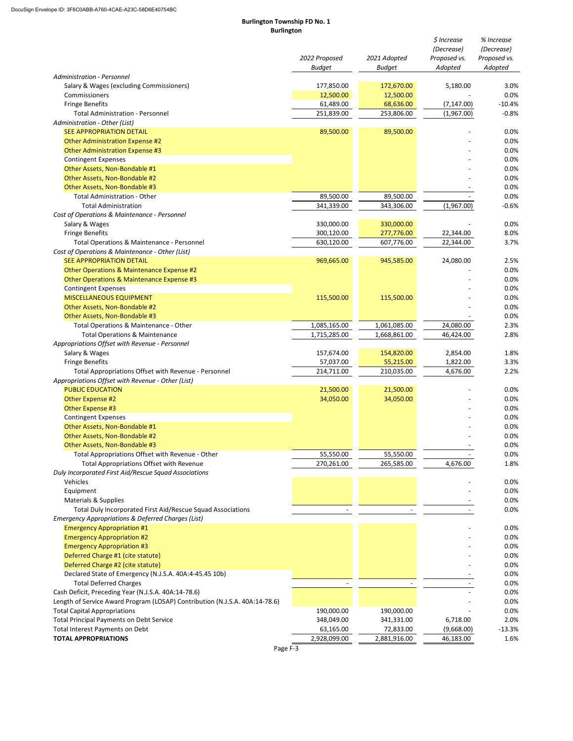|                                                                                             |               |               | $$$ Increase | % Increase   |
|---------------------------------------------------------------------------------------------|---------------|---------------|--------------|--------------|
|                                                                                             |               |               | (Decrease)   | (Decrease)   |
|                                                                                             | 2022 Proposed | 2021 Adopted  | Proposed vs. | Proposed vs. |
| Administration - Personnel                                                                  | <b>Budget</b> | <b>Budget</b> | Adopted      | Adopted      |
| Salary & Wages (excluding Commissioners)                                                    | 177,850.00    | 172,670.00    | 5,180.00     | 3.0%         |
| Commissioners                                                                               | 12,500.00     | 12,500.00     |              | 0.0%         |
| <b>Fringe Benefits</b>                                                                      | 61,489.00     | 68,636.00     | (7, 147.00)  | $-10.4%$     |
| <b>Total Administration - Personnel</b>                                                     | 251,839.00    | 253,806.00    | (1,967.00)   | $-0.8%$      |
| Administration - Other (List)                                                               |               |               |              |              |
| <b>SEE APPROPRIATION DETAIL</b>                                                             | 89,500.00     | 89,500.00     |              | 0.0%         |
| Other Administration Expense #2                                                             |               |               |              | 0.0%         |
| Other Administration Expense #3                                                             |               |               |              | 0.0%         |
| <b>Contingent Expenses</b>                                                                  |               |               |              | 0.0%         |
| Other Assets, Non-Bondable #1                                                               |               |               |              | 0.0%         |
| Other Assets, Non-Bondable #2                                                               |               |               |              | 0.0%         |
| Other Assets, Non-Bondable #3                                                               |               |               |              | 0.0%         |
| <b>Total Administration - Other</b>                                                         | 89,500.00     | 89,500.00     |              | 0.0%         |
| <b>Total Administration</b>                                                                 | 341,339.00    | 343,306.00    | (1,967.00)   | $-0.6%$      |
| Cost of Operations & Maintenance - Personnel                                                |               |               |              |              |
| Salary & Wages                                                                              | 330,000.00    | 330,000.00    |              | 0.0%         |
| <b>Fringe Benefits</b>                                                                      | 300,120.00    | 277,776.00    | 22,344.00    | 8.0%         |
| Total Operations & Maintenance - Personnel                                                  | 630,120.00    | 607,776.00    | 22,344.00    | 3.7%         |
| Cost of Operations & Maintenance - Other (List)                                             |               |               |              |              |
| <b>SEE APPROPRIATION DETAIL</b>                                                             | 969,665.00    | 945,585.00    | 24,080.00    | 2.5%         |
| Other Operations & Maintenance Expense #2                                                   |               |               |              | 0.0%         |
| Other Operations & Maintenance Expense #3                                                   |               |               |              | 0.0%         |
| <b>Contingent Expenses</b>                                                                  |               |               |              | 0.0%         |
| MISCELLANEOUS EQUIPMENT                                                                     | 115,500.00    | 115,500.00    |              | 0.0%         |
| Other Assets, Non-Bondable #2                                                               |               |               |              | 0.0%         |
| Other Assets, Non-Bondable #3                                                               |               |               |              | 0.0%         |
| Total Operations & Maintenance - Other                                                      | 1,085,165.00  | 1,061,085.00  | 24,080.00    | 2.3%         |
| <b>Total Operations &amp; Maintenance</b>                                                   | 1,715,285.00  | 1,668,861.00  | 46,424.00    | 2.8%         |
| Appropriations Offset with Revenue - Personnel                                              |               |               |              |              |
| Salary & Wages                                                                              | 157,674.00    | 154,820.00    | 2,854.00     | 1.8%         |
| <b>Fringe Benefits</b>                                                                      | 57,037.00     | 55,215.00     | 1,822.00     | 3.3%         |
| Total Appropriations Offset with Revenue - Personnel                                        | 214,711.00    | 210,035.00    | 4,676.00     | 2.2%         |
| Appropriations Offset with Revenue - Other (List)                                           |               |               |              |              |
| <b>PUBLIC EDUCATION</b>                                                                     | 21,500.00     | 21,500.00     |              | 0.0%         |
| Other Expense #2                                                                            | 34,050.00     | 34,050.00     |              | 0.0%         |
| Other Expense #3                                                                            |               |               |              | 0.0%         |
| <b>Contingent Expenses</b>                                                                  |               |               |              | 0.0%         |
| Other Assets, Non-Bondable #1                                                               |               |               |              | 0.0%         |
| Other Assets, Non-Bondable #2                                                               |               |               |              | 0.0%         |
| Other Assets, Non-Bondable #3                                                               |               |               |              | 0.0%         |
| Total Appropriations Offset with Revenue - Other                                            | 55,550.00     | 55,550.00     |              | 0.0%         |
| Total Appropriations Offset with Revenue                                                    | 270,261.00    | 265,585.00    | 4,676.00     | 1.8%         |
| Duly Incorporated First Aid/Rescue Squad Associations                                       |               |               |              |              |
| Vehicles                                                                                    |               |               |              | 0.0%         |
| Equipment                                                                                   |               |               |              | 0.0%         |
| <b>Materials &amp; Supplies</b>                                                             |               |               |              | 0.0%         |
| Total Duly Incorporated First Aid/Rescue Squad Associations                                 |               |               |              | 0.0%         |
| <b>Emergency Appropriations &amp; Deferred Charges (List)</b>                               |               |               |              |              |
| <b>Emergency Appropriation #1</b>                                                           |               |               |              | 0.0%         |
| <b>Emergency Appropriation #2</b>                                                           |               |               |              | 0.0%         |
| <b>Emergency Appropriation #3</b>                                                           |               |               |              | 0.0%         |
| Deferred Charge #1 (cite statute)                                                           |               |               |              | 0.0%         |
| Deferred Charge #2 (cite statute)<br>Declared State of Emergency (N.J.S.A. 40A:4-45.45 10b) |               |               |              | 0.0%<br>0.0% |
| <b>Total Deferred Charges</b>                                                               |               |               |              | 0.0%         |
|                                                                                             |               |               |              |              |

| Cash Deficit, Preceding Year (N.J.S.A. 40A:14-78.6)                         |              |              |                          | 0.0%     |
|-----------------------------------------------------------------------------|--------------|--------------|--------------------------|----------|
| Length of Service Award Program (LOSAP) Contribution (N.J.S.A. 40A:14-78.6) |              |              | $\overline{\phantom{0}}$ | 0.0%     |
| <b>Total Capital Appropriations</b>                                         | 190,000.00   | 190,000.00   |                          | 0.0%     |
| <b>Total Principal Payments on Debt Service</b>                             | 348,049.00   | 341,331.00   | 6.718.00                 | 2.0%     |
| Total Interest Payments on Debt                                             | 63.165.00    | 72.833.00    | (9,668.00)               | $-13.3%$ |
| <b>TOTAL APPROPRIATIONS</b>                                                 | 2,928,099.00 | 2,881,916.00 | 46,183.00                | 1.6%     |
| Page F-3                                                                    |              |              |                          |          |
|                                                                             |              |              |                          |          |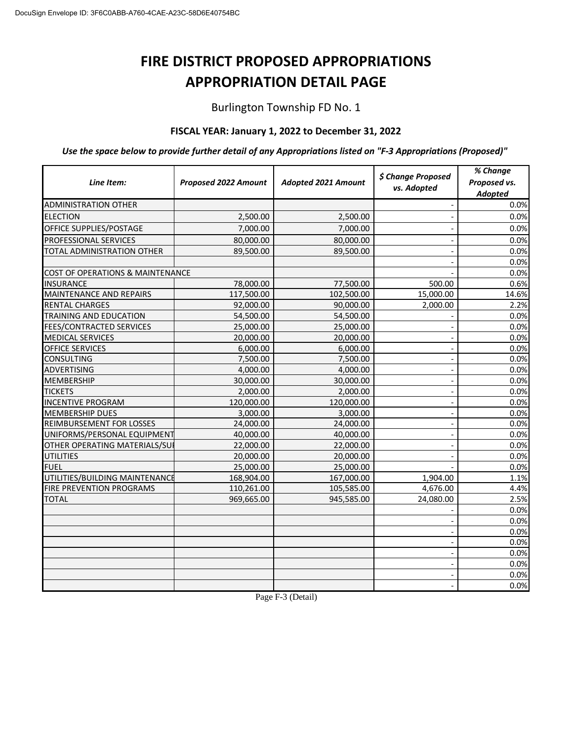### **FIRE DISTRICT PROPOSED APPROPRIATIONS APPROPRIATION DETAIL PAGE**

Burlington Township FD No. 1

#### **FISCAL YEAR: January 1, 2022 to December 31, 2022**

*Use the space below to provide further detail of any Appropriations listed on "F-3 Appropriations (Proposed)"*

|                                  |                      |                            | \$ Change Proposed | % Change       |
|----------------------------------|----------------------|----------------------------|--------------------|----------------|
| Line Item:                       | Proposed 2022 Amount | <b>Adopted 2021 Amount</b> | vs. Adopted        | Proposed vs.   |
|                                  |                      |                            |                    | <b>Adopted</b> |
| <b>ADMINISTRATION OTHER</b>      |                      |                            |                    | 0.0%           |
| <b>ELECTION</b>                  | 2,500.00             | 2,500.00                   |                    | 0.0%           |
| OFFICE SUPPLIES/POSTAGE          | 7,000.00             | 7,000.00                   |                    | 0.0%           |
| PROFESSIONAL SERVICES            | 80,000.00            | 80,000.00                  |                    | 0.0%           |
| TOTAL ADMINISTRATION OTHER       | 89,500.00            | 89,500.00                  |                    | 0.0%           |
|                                  |                      |                            |                    | 0.0%           |
| COST OF OPERATIONS & MAINTENANCE |                      |                            |                    | 0.0%           |
| <b>INSURANCE</b>                 | 78,000.00            | 77,500.00                  | 500.00             | 0.6%           |
| <b>MAINTENANCE AND REPAIRS</b>   | 117,500.00           | 102,500.00                 | 15,000.00          | 14.6%          |
| <b>RENTAL CHARGES</b>            | 92,000.00            | 90,000.00                  | 2,000.00           | 2.2%           |
| <b>TRAINING AND EDUCATION</b>    | 54,500.00            | 54,500.00                  |                    | 0.0%           |
| FEES/CONTRACTED SERVICES         | 25,000.00            | 25,000.00                  |                    | 0.0%           |
| <b>MEDICAL SERVICES</b>          | 20,000.00            | 20,000.00                  |                    | 0.0%           |
| OFFICE SERVICES                  | 6,000.00             | 6,000.00                   |                    | 0.0%           |
| <b>CONSULTING</b>                | 7,500.00             | 7,500.00                   |                    | 0.0%           |
| <b>ADVERTISING</b>               | 4,000.00             | 4,000.00                   |                    | 0.0%           |
| <b>MEMBERSHIP</b>                | 30,000.00            | 30,000.00                  |                    | 0.0%           |
| <b>TICKETS</b>                   | 2,000.00             | 2,000.00                   |                    | 0.0%           |
| <b>INCENTIVE PROGRAM</b>         | 120,000.00           | 120,000.00                 |                    | 0.0%           |
| <b>MEMBERSHIP DUES</b>           | 3,000.00             | 3,000.00                   |                    | 0.0%           |
| REIMBURSEMENT FOR LOSSES         | 24,000.00            | 24,000.00                  |                    | 0.0%           |
| UNIFORMS/PERSONAL EQUIPMENT      | 40,000.00            | 40,000.00                  |                    | 0.0%           |
| OTHER OPERATING MATERIALS/SU     | 22,000.00            | 22,000.00                  |                    | 0.0%           |
| <b>UTILITIES</b>                 | 20,000.00            | 20,000.00                  |                    | 0.0%           |
| <b>FUEL</b>                      | 25,000.00            | 25,000.00                  |                    | 0.0%           |
| UTILITIES/BUILDING MAINTENANCE   | 168,904.00           | 167,000.00                 | 1,904.00           | 1.1%           |
| <b>FIRE PREVENTION PROGRAMS</b>  | 110,261.00           | 105,585.00                 | 4,676.00           | 4.4%           |
| <b>TOTAL</b>                     | 969,665.00           | 945,585.00                 | 24,080.00          | 2.5%           |
|                                  |                      |                            |                    | 0.0%           |
|                                  |                      |                            |                    | 0.0%           |
|                                  |                      |                            |                    | 0.0%           |
|                                  |                      |                            |                    | 0.0%           |
|                                  |                      |                            |                    | 0.0%           |
|                                  |                      |                            |                    | 0.0%           |
|                                  |                      |                            |                    | 0.0%           |
|                                  |                      |                            |                    | 0.0%           |

Page F-3 (Detail)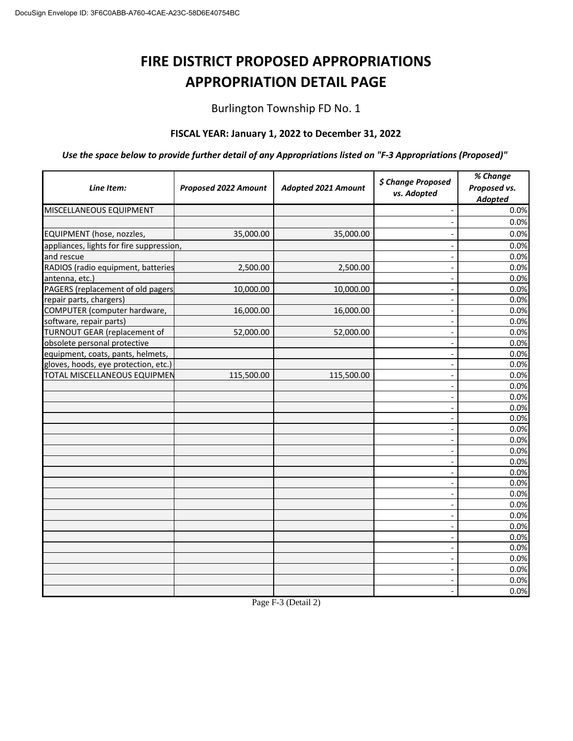### **FIRE DISTRICT PROPOSED APPROPRIATIONS APPROPRIATION DETAIL PAGE**

Burlington Township FD No. 1

#### **FISCAL YEAR: January 1, 2022 to December 31, 2022**

*Use the space below to provide further detail of any Appropriations listed on "F-3 Appropriations (Proposed)"*

| Line Item:                               |                      | <b>Adopted 2021 Amount</b> | \$ Change Proposed | % Change<br>Proposed vs. |
|------------------------------------------|----------------------|----------------------------|--------------------|--------------------------|
|                                          | Proposed 2022 Amount |                            | vs. Adopted        | <b>Adopted</b>           |
| MISCELLANEOUS EQUIPMENT                  |                      |                            |                    | 0.0%                     |
|                                          |                      |                            |                    | 0.0%                     |
| EQUIPMENT (hose, nozzles,                | 35,000.00            | 35,000.00                  |                    | 0.0%                     |
| appliances, lights for fire suppression, |                      |                            |                    | 0.0%                     |
| and rescue                               |                      |                            |                    | 0.0%                     |
| RADIOS (radio equipment, batteries       | 2,500.00             | 2,500.00                   |                    | 0.0%                     |
| antenna, etc.)                           |                      |                            |                    | 0.0%                     |
| PAGERS (replacement of old pagers        | 10,000.00            | 10,000.00                  |                    | 0.0%                     |
| repair parts, chargers)                  |                      |                            |                    | 0.0%                     |
| COMPUTER (computer hardware,             | 16,000.00            | 16,000.00                  |                    | 0.0%                     |
| software, repair parts)                  |                      |                            |                    | 0.0%                     |
| TURNOUT GEAR (replacement of             | 52,000.00            | 52,000.00                  |                    | 0.0%                     |
| obsolete personal protective             |                      |                            |                    | 0.0%                     |
| equipment, coats, pants, helmets,        |                      |                            |                    | 0.0%                     |
| gloves, hoods, eye protection, etc.)     |                      |                            |                    | 0.0%                     |
| TOTAL MISCELLANEOUS EQUIPMEN             | 115,500.00           | 115,500.00                 |                    | 0.0%                     |
|                                          |                      |                            |                    | 0.0%                     |
|                                          |                      |                            |                    | 0.0%                     |
|                                          |                      |                            |                    | 0.0%                     |
|                                          |                      |                            |                    | 0.0%                     |
|                                          |                      |                            |                    | 0.0%                     |
|                                          |                      |                            |                    | 0.0%                     |
|                                          |                      |                            |                    | 0.0%                     |
|                                          |                      |                            |                    | 0.0%                     |
|                                          |                      |                            |                    | 0.0%                     |
|                                          |                      |                            |                    | 0.0%                     |
|                                          |                      |                            |                    | 0.0%                     |
|                                          |                      |                            |                    | 0.0%                     |
|                                          |                      |                            |                    | 0.0%                     |
|                                          |                      |                            |                    | 0.0%                     |
|                                          |                      |                            |                    | 0.0%                     |
|                                          |                      |                            |                    | 0.0%<br>0.0%             |
|                                          |                      |                            |                    | 0.0%                     |
|                                          |                      |                            |                    | 0.0%                     |
|                                          |                      |                            |                    | 0.0%                     |
|                                          |                      |                            |                    |                          |

Page F-3 (Detail 2)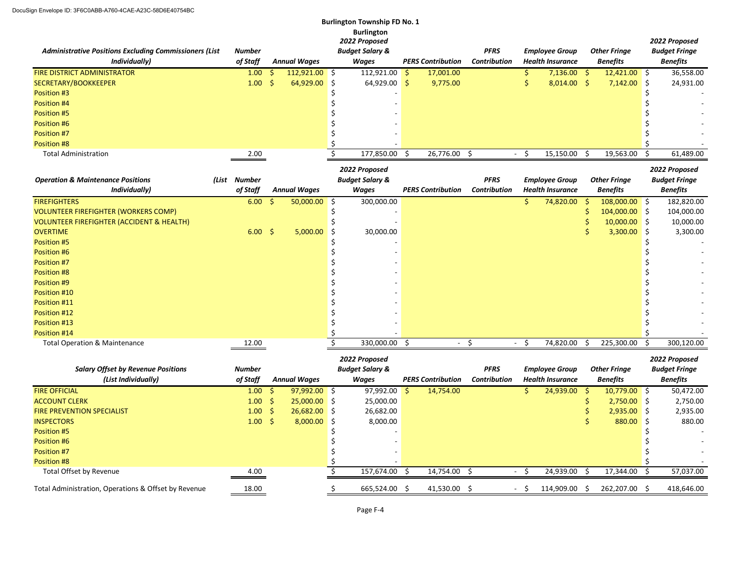| <b>Burlington Township FD No. 1</b>                           |               |    |                     |  |                                                                  |           |                          |                          |  |                         |                     |  |                                       |
|---------------------------------------------------------------|---------------|----|---------------------|--|------------------------------------------------------------------|-----------|--------------------------|--------------------------|--|-------------------------|---------------------|--|---------------------------------------|
| <b>Administrative Positions Excluding Commissioners (List</b> | <b>Number</b> |    |                     |  | <b>Burlington</b><br>2022 Proposed<br><b>Budget Salary &amp;</b> |           |                          | <b>PFRS</b>              |  | <b>Employee Group</b>   | <b>Other Fringe</b> |  | 2022 Proposed<br><b>Budget Fringe</b> |
| Individually)                                                 | of Staff      |    | <b>Annual Wages</b> |  | <b>Wages</b>                                                     |           | <b>PERS Contribution</b> | <b>Contribution</b>      |  | <b>Health Insurance</b> | <b>Benefits</b>     |  | <b>Benefits</b>                       |
| <b>FIRE DISTRICT ADMINISTRATOR</b>                            | 1.00          |    | $112,921.00$ \$     |  | 112,921.00                                                       | <b>S</b>  | 17,001.00                |                          |  | $7,136.00$ \$           | $12,421.00$ \$      |  | 36,558.00                             |
| SECRETARY/BOOKKEEPER                                          | 1.00          | -S | $64,929.00$ \$      |  | 64,929.00                                                        | <b>IS</b> | 9,775.00                 |                          |  | $8,014.00$ \$           | $7,142.00$ \$       |  | 24,931.00                             |
| Position #3                                                   |               |    |                     |  |                                                                  |           |                          |                          |  |                         |                     |  |                                       |
| Position #4                                                   |               |    |                     |  |                                                                  |           |                          |                          |  |                         |                     |  |                                       |
| Position #5                                                   |               |    |                     |  |                                                                  |           |                          |                          |  |                         |                     |  |                                       |
| Position #6                                                   |               |    |                     |  |                                                                  |           |                          |                          |  |                         |                     |  |                                       |
| Position #7                                                   |               |    |                     |  |                                                                  |           |                          |                          |  |                         |                     |  |                                       |
| Position #8                                                   |               |    |                     |  |                                                                  |           |                          |                          |  |                         |                     |  |                                       |
| <b>Total Administration</b>                                   | 2.00          |    |                     |  | 177,850.00                                                       |           | 26,776.00                | $\overline{\phantom{0}}$ |  | 15,150.00               | 19,563.00           |  | 61,489.00                             |

|                                                      |       |               |              |                     | 2022 Proposed              |                          |                     |                         |    |                     | 2022 Proposed        |
|------------------------------------------------------|-------|---------------|--------------|---------------------|----------------------------|--------------------------|---------------------|-------------------------|----|---------------------|----------------------|
| <b>Operation &amp; Maintenance Positions</b>         | (List | <b>Number</b> |              |                     | <b>Budget Salary &amp;</b> |                          | <b>PFRS</b>         | <b>Employee Group</b>   |    | <b>Other Fringe</b> | <b>Budget Fringe</b> |
| Individually)                                        |       | of Staff      |              | <b>Annual Wages</b> | Wages                      | <b>PERS Contribution</b> | <b>Contribution</b> | <b>Health Insurance</b> |    | <b>Benefits</b>     | <b>Benefits</b>      |
| <b>FIREFIGHTERS</b>                                  |       | 6.00          | <sup>S</sup> | $50,000.00$ \$      | 300,000.00                 |                          |                     | 74,820.00               | -S | $108,000.00$ \$     | 182,820.00           |
| <b>VOLUNTEER FIREFIGHTER (WORKERS COMP)</b>          |       |               |              |                     |                            |                          |                     |                         |    | $104,000.00$ \$     | 104,000.00           |
| <b>VOLUNTEER FIREFIGHTER (ACCIDENT &amp; HEALTH)</b> |       |               |              |                     |                            |                          |                     |                         |    | $10,000.00$ \$      | 10,000.00            |
| <b>OVERTIME</b>                                      |       | 6.00          | -S           | $5,000.00$ \$       | 30,000.00                  |                          |                     |                         |    | $3,300.00$ \$       | 3,300.00             |
| Position #5                                          |       |               |              |                     |                            |                          |                     |                         |    |                     |                      |
| Position #6                                          |       |               |              |                     |                            |                          |                     |                         |    |                     |                      |
| Position #7                                          |       |               |              |                     |                            |                          |                     |                         |    |                     |                      |
| Position #8                                          |       |               |              |                     |                            |                          |                     |                         |    |                     |                      |
| Position #9                                          |       |               |              |                     |                            |                          |                     |                         |    |                     |                      |
| Position #10                                         |       |               |              |                     |                            |                          |                     |                         |    |                     |                      |
| Position #11                                         |       |               |              |                     |                            |                          |                     |                         |    |                     |                      |
| Position #12                                         |       |               |              |                     |                            |                          |                     |                         |    |                     |                      |
| Position #13                                         |       |               |              |                     |                            |                          |                     |                         |    |                     |                      |
| Position #14                                         |       |               |              |                     |                            |                          |                     |                         |    |                     |                      |
| <b>Total Operation &amp; Maintenance</b>             |       | 12.00         |              |                     | 330,000.00                 |                          |                     | 74,820.00               |    | 225,300.00          | 300,120.00           |

|                                                      |               |     |                     | 2022 Proposed              |                          |                     |                         |                     | 2022 Proposed        |
|------------------------------------------------------|---------------|-----|---------------------|----------------------------|--------------------------|---------------------|-------------------------|---------------------|----------------------|
| <b>Salary Offset by Revenue Positions</b>            | <b>Number</b> |     |                     | <b>Budget Salary &amp;</b> |                          | <b>PFRS</b>         | <b>Employee Group</b>   | <b>Other Fringe</b> | <b>Budget Fringe</b> |
| (List Individually)                                  | of Staff      |     | <b>Annual Wages</b> | <b>Wages</b>               | <b>PERS Contribution</b> | <b>Contribution</b> | <b>Health Insurance</b> | <b>Benefits</b>     | <b>Benefits</b>      |
| <b>FIRE OFFICIAL</b>                                 | 1.00          |     | $97,992.00$ \$      | $97,992.00$ \$             | 14,754.00                |                     | $24,939.00$ \$          | $10,779.00$ \$      | 50,472.00            |
| <b>ACCOUNT CLERK</b>                                 | 1.00          | - S | $25,000.00$ \$      | 25,000.00                  |                          |                     |                         | $2,750.00$ \$       | 2,750.00             |
| <b>FIRE PREVENTION SPECIALIST</b>                    | 1.00          | - S | $26,682.00$ \$      | 26,682.00                  |                          |                     |                         | $2,935.00$ \$       | 2,935.00             |
| <b>INSPECTORS</b>                                    | 1.00          | - S | $8,000.00$ \$       | 8,000.00                   |                          |                     |                         | 880.00 \$           | 880.00               |
| Position #5                                          |               |     |                     |                            |                          |                     |                         |                     |                      |
| Position #6                                          |               |     |                     |                            |                          |                     |                         |                     |                      |
| Position #7                                          |               |     |                     |                            |                          |                     |                         |                     |                      |
| Position #8                                          |               |     |                     |                            |                          |                     |                         |                     |                      |
| Total Offset by Revenue                              | 4.00          |     |                     | 157,674.00                 | 14,754.00                |                     | 24,939.00               | 17,344.00           | 57,037.00            |
| Total Administration, Operations & Offset by Revenue | 18.00         |     |                     | 665,524.00 \$              | 41,530.00                |                     | 114,909.00              | 262,207.00          | 418,646.00           |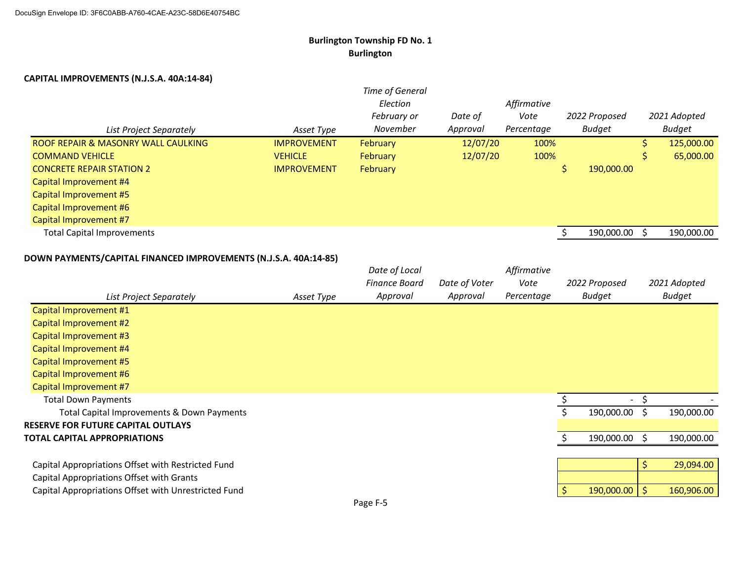#### **CAPITAL IMPROVEMENTS (N.J.S.A. 40A:14-84)**

|                                     |                    | <b>Time of General</b><br>Election |          | Affirmative |               |               |
|-------------------------------------|--------------------|------------------------------------|----------|-------------|---------------|---------------|
|                                     |                    | February or                        | Date of  | Vote        | 2022 Proposed | 2021 Adopted  |
| List Project Separately             | Asset Type         | November                           | Approval | Percentage  | <b>Budget</b> | <b>Budget</b> |
| ROOF REPAIR & MASONRY WALL CAULKING | <b>IMPROVEMENT</b> | February                           | 12/07/20 | 100%        |               | 125,000.00    |
| <b>COMMAND VEHICLE</b>              | <b>VEHICLE</b>     | February                           | 12/07/20 | 100%        |               | 65,000.00     |
| <b>CONCRETE REPAIR STATION 2</b>    | <b>IMPROVEMENT</b> | February                           |          |             | 190,000.00    |               |
| Capital Improvement #4              |                    |                                    |          |             |               |               |
| Capital Improvement #5              |                    |                                    |          |             |               |               |
| Capital Improvement #6              |                    |                                    |          |             |               |               |
| Capital Improvement #7              |                    |                                    |          |             |               |               |
| <b>Total Capital Improvements</b>   |                    |                                    |          |             | 190,000.00    | 190,000.00    |
|                                     |                    |                                    |          |             |               |               |

#### **DOWN PAYMENTS/CAPITAL FINANCED IMPROVEMENTS (N.J.S.A. 40A:14-85)**

| Date of Local<br>Affirmative<br><b>Finance Board</b><br>Date of Voter<br>2022 Proposed<br>2021 Adopted<br>Vote<br><b>Budget</b><br><b>Budget</b><br>Approval<br>Approval<br>Percentage<br>List Project Separately<br>Asset Type<br>Capital Improvement #1<br>Capital Improvement #2<br>Capital Improvement #3<br>Capital Improvement #4<br>Capital Improvement #5<br>Capital Improvement #6<br>Capital Improvement #7<br><b>Total Down Payments</b><br><sub>S</sub><br>$\sim$<br>190,000.00 \$<br>Total Capital Improvements & Down Payments<br><b>RESERVE FOR FUTURE CAPITAL OUTLAYS</b><br>190,000.00<br><b>TOTAL CAPITAL APPROPRIATIONS</b><br><sub>S</sub> | , כסידו. הטה אוניומים כמו המודע טובים של האמרות האורחיה ולא סטיביות המודע של ה |  |  |  |                 |
|----------------------------------------------------------------------------------------------------------------------------------------------------------------------------------------------------------------------------------------------------------------------------------------------------------------------------------------------------------------------------------------------------------------------------------------------------------------------------------------------------------------------------------------------------------------------------------------------------------------------------------------------------------------|--------------------------------------------------------------------------------|--|--|--|-----------------|
|                                                                                                                                                                                                                                                                                                                                                                                                                                                                                                                                                                                                                                                                |                                                                                |  |  |  |                 |
|                                                                                                                                                                                                                                                                                                                                                                                                                                                                                                                                                                                                                                                                |                                                                                |  |  |  |                 |
|                                                                                                                                                                                                                                                                                                                                                                                                                                                                                                                                                                                                                                                                |                                                                                |  |  |  |                 |
|                                                                                                                                                                                                                                                                                                                                                                                                                                                                                                                                                                                                                                                                |                                                                                |  |  |  |                 |
|                                                                                                                                                                                                                                                                                                                                                                                                                                                                                                                                                                                                                                                                |                                                                                |  |  |  |                 |
|                                                                                                                                                                                                                                                                                                                                                                                                                                                                                                                                                                                                                                                                |                                                                                |  |  |  |                 |
|                                                                                                                                                                                                                                                                                                                                                                                                                                                                                                                                                                                                                                                                |                                                                                |  |  |  |                 |
|                                                                                                                                                                                                                                                                                                                                                                                                                                                                                                                                                                                                                                                                |                                                                                |  |  |  |                 |
|                                                                                                                                                                                                                                                                                                                                                                                                                                                                                                                                                                                                                                                                |                                                                                |  |  |  |                 |
|                                                                                                                                                                                                                                                                                                                                                                                                                                                                                                                                                                                                                                                                |                                                                                |  |  |  |                 |
|                                                                                                                                                                                                                                                                                                                                                                                                                                                                                                                                                                                                                                                                |                                                                                |  |  |  |                 |
|                                                                                                                                                                                                                                                                                                                                                                                                                                                                                                                                                                                                                                                                |                                                                                |  |  |  | 190,000.00      |
|                                                                                                                                                                                                                                                                                                                                                                                                                                                                                                                                                                                                                                                                |                                                                                |  |  |  |                 |
|                                                                                                                                                                                                                                                                                                                                                                                                                                                                                                                                                                                                                                                                |                                                                                |  |  |  | 190,000.00      |
|                                                                                                                                                                                                                                                                                                                                                                                                                                                                                                                                                                                                                                                                |                                                                                |  |  |  |                 |
|                                                                                                                                                                                                                                                                                                                                                                                                                                                                                                                                                                                                                                                                | Capital Appropriations Offset with Restricted Fund                             |  |  |  | \$<br>29,094.00 |
| Capital Appropriations Offset with Grants                                                                                                                                                                                                                                                                                                                                                                                                                                                                                                                                                                                                                      |                                                                                |  |  |  |                 |
| 190,000.00<br>Capital Appropriations Offset with Unrestricted Fund<br>-S                                                                                                                                                                                                                                                                                                                                                                                                                                                                                                                                                                                       |                                                                                |  |  |  | 160,906.00      |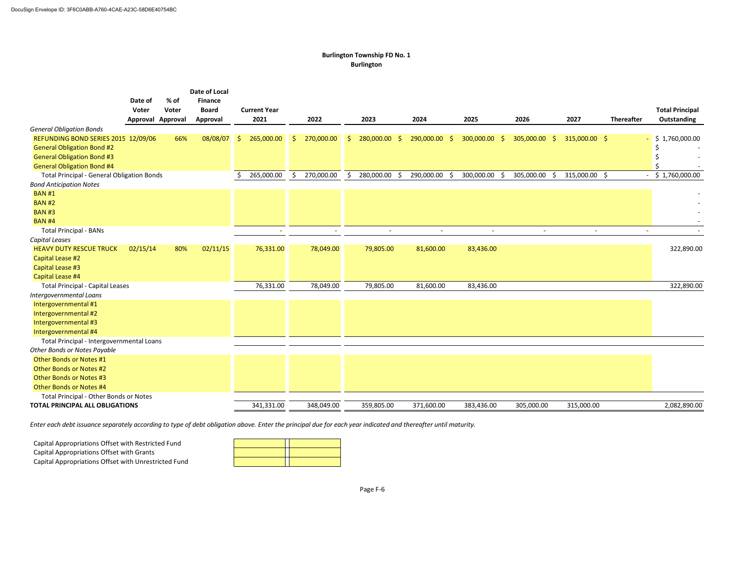|                                                             | Date of  | % of                     | <b>Date of Local</b><br><b>Finance</b> |                            |              |                          |              |                  |                   |                |                  |               |                          |                        |
|-------------------------------------------------------------|----------|--------------------------|----------------------------------------|----------------------------|--------------|--------------------------|--------------|------------------|-------------------|----------------|------------------|---------------|--------------------------|------------------------|
|                                                             | Voter    | <b>Voter</b>             | <b>Board</b>                           | <b>Current Year</b>        |              |                          |              |                  |                   |                |                  |               |                          | <b>Total Principal</b> |
|                                                             |          | <b>Approval Approval</b> | Approval                               | 2021                       |              | 2022                     |              | 2023             | 2024              | 2025           | 2026             | 2027          | <b>Thereafter</b>        | Outstanding            |
| <b>General Obligation Bonds</b>                             |          |                          |                                        |                            |              |                          |              |                  |                   |                |                  |               |                          |                        |
| REFUNDING BOND SERIES 2015 12/09/06                         |          | 66%                      | 08/08/07                               | 265,000.00<br>$\mathsf{S}$ | \$.          | 270,000.00               | \$           | 280,000.00 \$    | 290,000.00<br>-\$ | 300,000.00 \$  | 305,000.00 \$    | 315,000.00 \$ | $\equiv$                 | \$1,760,000.00         |
| <b>General Obligation Bond #2</b>                           |          |                          |                                        |                            |              |                          |              |                  |                   |                |                  |               |                          |                        |
| <b>General Obligation Bond #3</b>                           |          |                          |                                        |                            |              |                          |              |                  |                   |                |                  |               |                          |                        |
| <b>General Obligation Bond #4</b>                           |          |                          |                                        |                            |              |                          |              |                  |                   |                |                  |               |                          |                        |
| <b>Total Principal - General Obligation Bonds</b>           |          |                          |                                        | 265,000.00                 | $\mathsf{S}$ | 270,000.00               | $\mathsf{S}$ | 280,000.00<br>\$ | 290,000.00<br>\$  | 300,000.00 \$  | 305,000.00<br>Ŝ. | 315,000.00 \$ | $\blacksquare$           | \$1,760,000.00         |
| <b>Bond Anticipation Notes</b>                              |          |                          |                                        |                            |              |                          |              |                  |                   |                |                  |               |                          |                        |
| <b>BAN#1</b>                                                |          |                          |                                        |                            |              |                          |              |                  |                   |                |                  |               |                          |                        |
| <b>BAN#2</b>                                                |          |                          |                                        |                            |              |                          |              |                  |                   |                |                  |               |                          |                        |
| <b>BAN#3</b>                                                |          |                          |                                        |                            |              |                          |              |                  |                   |                |                  |               |                          |                        |
| <b>BAN #4</b>                                               |          |                          |                                        |                            |              |                          |              |                  |                   |                |                  |               |                          |                        |
| <b>Total Principal - BANs</b>                               |          |                          |                                        | $\overline{\phantom{a}}$   |              | $\overline{\phantom{a}}$ |              | $\sim$           | $\sim$            | $\overline{a}$ | $\sim$           | $\sim$        | $\overline{\phantom{a}}$ |                        |
| Capital Leases                                              |          |                          |                                        |                            |              |                          |              |                  |                   |                |                  |               |                          |                        |
| <b>HEAVY DUTY RESCUE TRUCK</b>                              | 02/15/14 | 80%                      | 02/11/15                               | 76,331.00                  |              | 78,049.00                |              | 79,805.00        | 81,600.00         | 83,436.00      |                  |               |                          | 322,890.00             |
| <b>Capital Lease #2</b>                                     |          |                          |                                        |                            |              |                          |              |                  |                   |                |                  |               |                          |                        |
| <b>Capital Lease #3</b>                                     |          |                          |                                        |                            |              |                          |              |                  |                   |                |                  |               |                          |                        |
| Capital Lease #4<br><b>Total Principal - Capital Leases</b> |          |                          |                                        | 76,331.00                  |              | 78,049.00                |              | 79,805.00        | 81,600.00         | 83,436.00      |                  |               |                          | 322,890.00             |
| Intergovernmental Loans                                     |          |                          |                                        |                            |              |                          |              |                  |                   |                |                  |               |                          |                        |
| Intergovernmental #1                                        |          |                          |                                        |                            |              |                          |              |                  |                   |                |                  |               |                          |                        |
| Intergovernmental #2                                        |          |                          |                                        |                            |              |                          |              |                  |                   |                |                  |               |                          |                        |
| Intergovernmental #3                                        |          |                          |                                        |                            |              |                          |              |                  |                   |                |                  |               |                          |                        |
| Intergovernmental #4                                        |          |                          |                                        |                            |              |                          |              |                  |                   |                |                  |               |                          |                        |
| Total Principal - Intergovernmental Loans                   |          |                          |                                        |                            |              |                          |              |                  |                   |                |                  |               |                          |                        |
| <b>Other Bonds or Notes Payable</b>                         |          |                          |                                        |                            |              |                          |              |                  |                   |                |                  |               |                          |                        |
| Other Bonds or Notes #1                                     |          |                          |                                        |                            |              |                          |              |                  |                   |                |                  |               |                          |                        |
| Other Bonds or Notes #2                                     |          |                          |                                        |                            |              |                          |              |                  |                   |                |                  |               |                          |                        |
| Other Bonds or Notes #3                                     |          |                          |                                        |                            |              |                          |              |                  |                   |                |                  |               |                          |                        |
| Other Bonds or Notes #4                                     |          |                          |                                        |                            |              |                          |              |                  |                   |                |                  |               |                          |                        |
| <b>Total Principal - Other Bonds or Notes</b>               |          |                          |                                        |                            |              |                          |              |                  |                   |                |                  |               |                          |                        |
| <b>TOTAL PRINCIPAL ALL OBLIGATIONS</b>                      |          |                          |                                        | 341,331.00                 |              | 348,049.00               |              | 359,805.00       | 371,600.00        | 383,436.00     | 305,000.00       | 315,000.00    |                          | 2,082,890.00           |

Capital Appropriations Offset with Restricted Fund Capital Appropriations Offset with Grants Capital Appropriations Offset with Unrestricted Fund

*Enter each debt issuance separately according to type of debt obligation above. Enter the principal due for each year indicated and thereafter until maturity.* 

#### **Burlington Township FD No. 1 Burlington**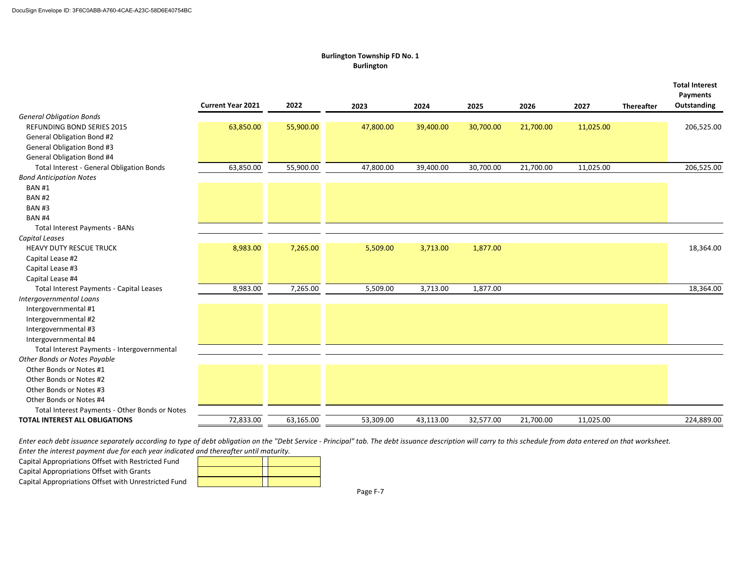|                                                | <b>Current Year 2021</b> | 2022      | 2023      | 2024      | 2025      | 2026      | 2027      | <b>Thereafter</b> | <b>Total Interest</b><br>Payments<br><b>Outstanding</b> |
|------------------------------------------------|--------------------------|-----------|-----------|-----------|-----------|-----------|-----------|-------------------|---------------------------------------------------------|
| <b>General Obligation Bonds</b>                |                          |           |           |           |           |           |           |                   |                                                         |
| REFUNDING BOND SERIES 2015                     | 63,850.00                | 55,900.00 | 47,800.00 | 39,400.00 | 30,700.00 | 21,700.00 | 11,025.00 |                   | 206,525.00                                              |
| <b>General Obligation Bond #2</b>              |                          |           |           |           |           |           |           |                   |                                                         |
| <b>General Obligation Bond #3</b>              |                          |           |           |           |           |           |           |                   |                                                         |
| General Obligation Bond #4                     |                          |           |           |           |           |           |           |                   |                                                         |
| Total Interest - General Obligation Bonds      | 63,850.00                | 55,900.00 | 47,800.00 | 39,400.00 | 30,700.00 | 21,700.00 | 11,025.00 |                   | 206,525.00                                              |
| <b>Bond Anticipation Notes</b>                 |                          |           |           |           |           |           |           |                   |                                                         |
| <b>BAN#1</b>                                   |                          |           |           |           |           |           |           |                   |                                                         |
| <b>BAN#2</b>                                   |                          |           |           |           |           |           |           |                   |                                                         |
| <b>BAN#3</b>                                   |                          |           |           |           |           |           |           |                   |                                                         |
| <b>BAN#4</b>                                   |                          |           |           |           |           |           |           |                   |                                                         |
| <b>Total Interest Payments - BANs</b>          |                          |           |           |           |           |           |           |                   |                                                         |
| Capital Leases                                 |                          |           |           |           |           |           |           |                   |                                                         |
| <b>HEAVY DUTY RESCUE TRUCK</b>                 | 8,983.00                 | 7,265.00  | 5,509.00  | 3,713.00  | 1,877.00  |           |           |                   | 18,364.00                                               |
| Capital Lease #2                               |                          |           |           |           |           |           |           |                   |                                                         |
| Capital Lease #3                               |                          |           |           |           |           |           |           |                   |                                                         |
| Capital Lease #4                               |                          |           |           |           |           |           |           |                   |                                                         |
| Total Interest Payments - Capital Leases       | 8,983.00                 | 7,265.00  | 5,509.00  | 3,713.00  | 1,877.00  |           |           |                   | 18,364.00                                               |
| Intergovernmental Loans                        |                          |           |           |           |           |           |           |                   |                                                         |
| Intergovernmental #1                           |                          |           |           |           |           |           |           |                   |                                                         |
| Intergovernmental #2                           |                          |           |           |           |           |           |           |                   |                                                         |
| Intergovernmental #3                           |                          |           |           |           |           |           |           |                   |                                                         |
| Intergovernmental #4                           |                          |           |           |           |           |           |           |                   |                                                         |
| Total Interest Payments - Intergovernmental    |                          |           |           |           |           |           |           |                   |                                                         |
| <b>Other Bonds or Notes Payable</b>            |                          |           |           |           |           |           |           |                   |                                                         |
| Other Bonds or Notes #1                        |                          |           |           |           |           |           |           |                   |                                                         |
| Other Bonds or Notes #2                        |                          |           |           |           |           |           |           |                   |                                                         |
| Other Bonds or Notes #3                        |                          |           |           |           |           |           |           |                   |                                                         |
| Other Bonds or Notes #4                        |                          |           |           |           |           |           |           |                   |                                                         |
| Total Interest Payments - Other Bonds or Notes |                          |           |           |           |           |           |           |                   |                                                         |
| <b>TOTAL INTEREST ALL OBLIGATIONS</b>          | 72,833.00                | 63,165.00 | 53,309.00 | 43,113.00 | 32,577.00 | 21,700.00 | 11,025.00 |                   | 224,889.00                                              |

*Enter the interest payment due for each year indicated and thereafter until maturity. Enter each debt issuance separately according to type of debt obligation on the "Debt Service - Principal" tab. The debt issuance description will carry to this schedule from data entered on that worksheet.* 

Capital Appropriations Offset with Restricted Fund Capital Appropriations Offset with Grants Capital Appropriations Offset with Unrestricted Fu

| und |  |  |
|-----|--|--|

Page F-7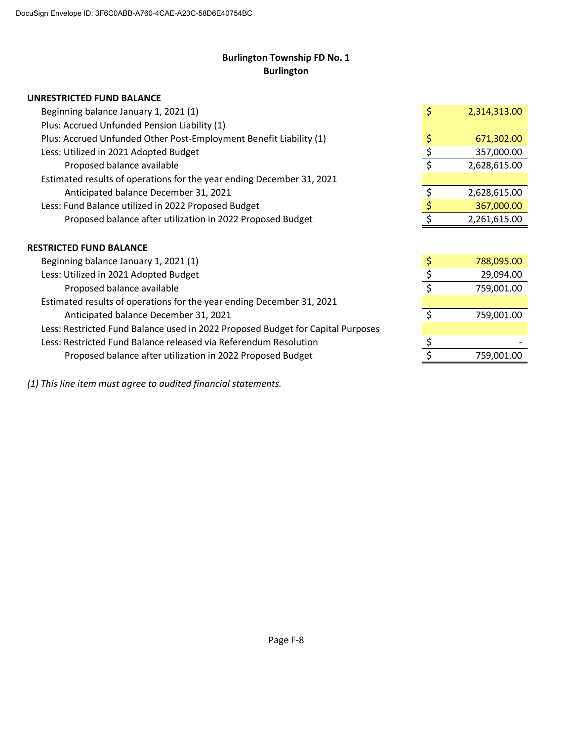#### **UNRESTRICTED FUND BALANCE**

| Plus: Accrued Unfunded Pension Liability (1)<br>Plus: Accrued Unfunded Other Post-Employment Benefit Liability (1)<br>\$<br>671,302.00<br>\$<br>357,000.00<br>Less: Utilized in 2021 Adopted Budget<br>Ś<br>Proposed balance available<br>2,628,615.00<br>Estimated results of operations for the year ending December 31, 2021 |  |
|---------------------------------------------------------------------------------------------------------------------------------------------------------------------------------------------------------------------------------------------------------------------------------------------------------------------------------|--|
|                                                                                                                                                                                                                                                                                                                                 |  |
|                                                                                                                                                                                                                                                                                                                                 |  |
|                                                                                                                                                                                                                                                                                                                                 |  |
|                                                                                                                                                                                                                                                                                                                                 |  |
|                                                                                                                                                                                                                                                                                                                                 |  |
| \$<br>Anticipated balance December 31, 2021<br>2,628,615.00                                                                                                                                                                                                                                                                     |  |
| \$<br>Less: Fund Balance utilized in 2022 Proposed Budget<br>367,000.00                                                                                                                                                                                                                                                         |  |
| ς<br>Proposed balance after utilization in 2022 Proposed Budget<br>2,261,615.00                                                                                                                                                                                                                                                 |  |
|                                                                                                                                                                                                                                                                                                                                 |  |
| <b>RESTRICTED FUND BALANCE</b>                                                                                                                                                                                                                                                                                                  |  |
| \$<br>Beginning balance January 1, 2021 (1)<br>788,095.00                                                                                                                                                                                                                                                                       |  |
| \$<br>Less: Utilized in 2021 Adopted Budget<br>29,094.00                                                                                                                                                                                                                                                                        |  |
| Ś<br>Proposed balance available<br>759,001.00                                                                                                                                                                                                                                                                                   |  |
| Estimated results of operations for the year ending December 31, 2021                                                                                                                                                                                                                                                           |  |
| Ś<br>759,001.00<br>Anticipated balance December 31, 2021                                                                                                                                                                                                                                                                        |  |
| Less: Restricted Fund Balance used in 2022 Proposed Budget for Capital Purposes                                                                                                                                                                                                                                                 |  |
| \$<br>Less: Restricted Fund Balance released via Referendum Resolution                                                                                                                                                                                                                                                          |  |
| Proposed balance after utilization in 2022 Proposed Budget<br>759,001.00                                                                                                                                                                                                                                                        |  |

*(1) This line item must agree to audited financial statements.*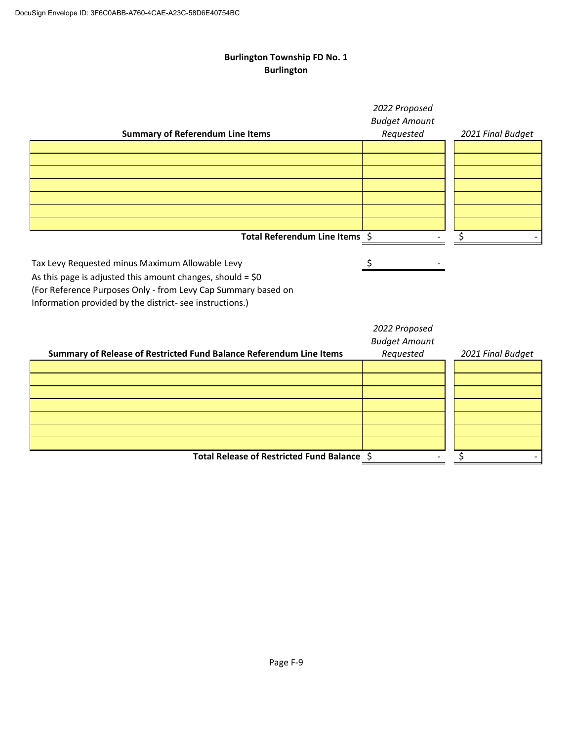|                                         | 2022 Proposed        |                   |
|-----------------------------------------|----------------------|-------------------|
|                                         | <b>Budget Amount</b> |                   |
| <b>Summary of Referendum Line Items</b> | Requested            | 2021 Final Budget |
|                                         |                      |                   |
|                                         |                      |                   |
|                                         |                      |                   |
|                                         |                      |                   |
|                                         |                      |                   |
|                                         |                      |                   |
|                                         |                      |                   |
| Total Referendum Line Items \$          |                      |                   |
|                                         |                      |                   |

Tax Levy Requested minus Maximum Allowable Levy  $\frac{\zeta}{\zeta}$ As this page is adjusted this amount changes, should  $=$  \$0 (For Reference Purposes Only - from Levy Cap Summary based on Information provided by the district- see instructions.)

|                                                                     | 2022 Proposed        |                   |
|---------------------------------------------------------------------|----------------------|-------------------|
|                                                                     | <b>Budget Amount</b> |                   |
| Summary of Release of Restricted Fund Balance Referendum Line Items | Requested            | 2021 Final Budget |
|                                                                     |                      |                   |
|                                                                     |                      |                   |
|                                                                     |                      |                   |
|                                                                     |                      |                   |
|                                                                     |                      |                   |
|                                                                     |                      |                   |
|                                                                     |                      |                   |
| Total Release of Restricted Fund Balance \$                         |                      |                   |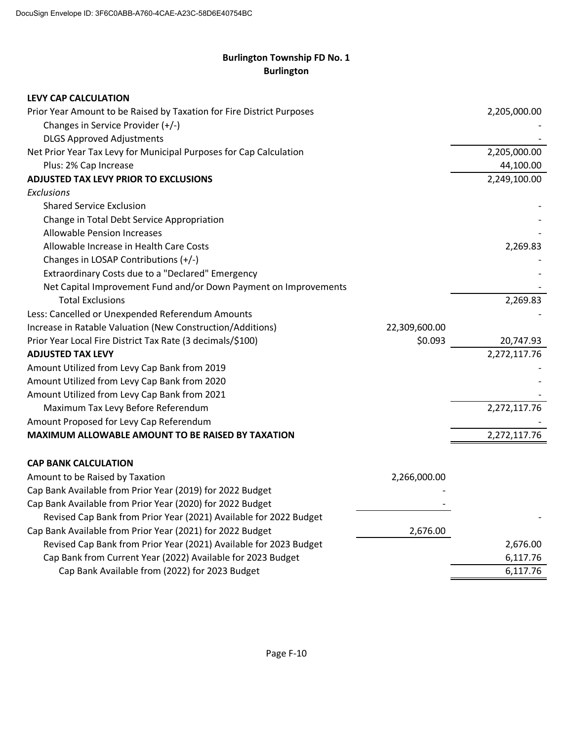| <b>LEVY CAP CALCULATION</b>                                           |                      |  |
|-----------------------------------------------------------------------|----------------------|--|
| Prior Year Amount to be Raised by Taxation for Fire District Purposes | 2,205,000.00         |  |
| Changes in Service Provider (+/-)                                     |                      |  |
| <b>DLGS Approved Adjustments</b>                                      |                      |  |
| Net Prior Year Tax Levy for Municipal Purposes for Cap Calculation    | 2,205,000.00         |  |
| Plus: 2% Cap Increase                                                 | 44,100.00            |  |
| <b>ADJUSTED TAX LEVY PRIOR TO EXCLUSIONS</b>                          | 2,249,100.00         |  |
| Exclusions                                                            |                      |  |
| <b>Shared Service Exclusion</b>                                       |                      |  |
| Change in Total Debt Service Appropriation                            |                      |  |
| <b>Allowable Pension Increases</b>                                    |                      |  |
| Allowable Increase in Health Care Costs                               | 2,269.83             |  |
| Changes in LOSAP Contributions (+/-)                                  |                      |  |
| Extraordinary Costs due to a "Declared" Emergency                     |                      |  |
| Net Capital Improvement Fund and/or Down Payment on Improvements      |                      |  |
| <b>Total Exclusions</b>                                               | 2,269.83             |  |
| Less: Cancelled or Unexpended Referendum Amounts                      |                      |  |
| Increase in Ratable Valuation (New Construction/Additions)            | 22,309,600.00        |  |
| Prior Year Local Fire District Tax Rate (3 decimals/\$100)            | \$0.093<br>20,747.93 |  |
| <b>ADJUSTED TAX LEVY</b>                                              | 2,272,117.76         |  |
| Amount Utilized from Levy Cap Bank from 2019                          |                      |  |
| Amount Utilized from Levy Cap Bank from 2020                          |                      |  |
| Amount Utilized from Levy Cap Bank from 2021                          |                      |  |
| Maximum Tax Levy Before Referendum                                    | 2,272,117.76         |  |
| Amount Proposed for Levy Cap Referendum                               |                      |  |
| MAXIMUM ALLOWABLE AMOUNT TO BE RAISED BY TAXATION                     | 2,272,117.76         |  |
| <b>CAP BANK CALCULATION</b>                                           |                      |  |
| Amount to be Raised by Taxation                                       | 2,266,000.00         |  |
| Cap Bank Available from Prior Year (2019) for 2022 Budget             |                      |  |
| Cap Bank Available from Prior Year (2020) for 2022 Budget             |                      |  |
| Revised Cap Bank from Prior Year (2021) Available for 2022 Budget     |                      |  |
| Cap Bank Available from Prior Year (2021) for 2022 Budget             | 2,676.00             |  |
| Revised Cap Bank from Prior Year (2021) Available for 2023 Budget     | 2,676.00             |  |
| Cap Bank from Current Year (2022) Available for 2023 Budget           | 6,117.76             |  |
| Cap Bank Available from (2022) for 2023 Budget                        | 6,117.76             |  |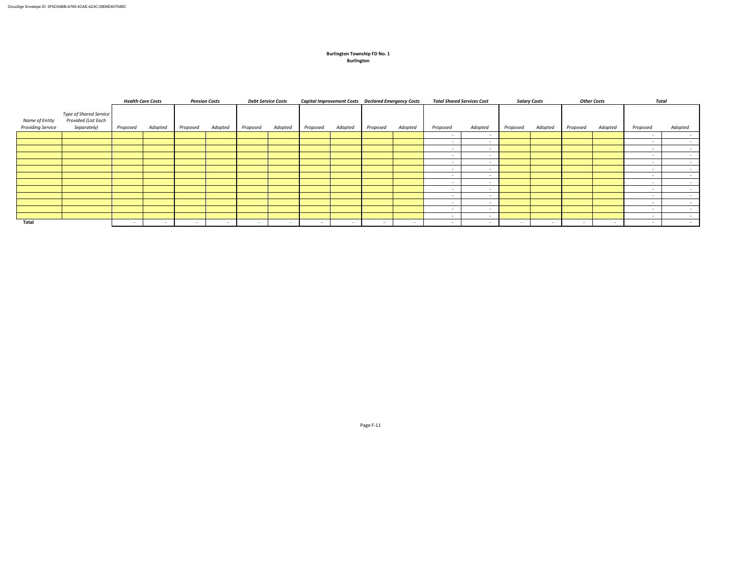|                                            |                                                                     | <b>Health Care Costs</b> |         |          | <b>Pension Costs</b> |          | <b>Debt Service Costs</b> | <b>Capital Improvement Costs</b> Declared Emergency Costs |         |          |         | <b>Total Shared Services Cost</b> |                          | <b>Salary Costs</b> |         | <b>Other Costs</b> |                          | Total                    |            |
|--------------------------------------------|---------------------------------------------------------------------|--------------------------|---------|----------|----------------------|----------|---------------------------|-----------------------------------------------------------|---------|----------|---------|-----------------------------------|--------------------------|---------------------|---------|--------------------|--------------------------|--------------------------|------------|
| Name of Entity<br><b>Providing Service</b> | <b>Type of Shared Service</b><br>Provided (List Each<br>Separately) | Proposed                 | Adopted | Proposed | Adopted              | Proposed | Adopted                   | Proposed                                                  | Adopted | Proposed | Adopted | Proposed                          | Adopted                  | Proposed            | Adopted | Proposed           | Adopted                  | Proposed                 | Adopted    |
|                                            |                                                                     |                          |         |          |                      |          |                           |                                                           |         |          |         | $\sim$                            | $\overline{\phantom{0}}$ |                     |         |                    |                          |                          | $\sim$     |
|                                            |                                                                     |                          |         |          |                      |          |                           |                                                           |         |          |         | $\sim$                            |                          |                     |         |                    |                          | $\overline{\phantom{0}}$ | $\sim$     |
|                                            |                                                                     |                          |         |          |                      |          |                           |                                                           |         |          |         | $\sim$                            |                          |                     |         |                    |                          | $\overline{\phantom{0}}$ | $\sim$     |
|                                            |                                                                     |                          |         |          |                      |          |                           |                                                           |         |          |         | $-$                               | $\overline{\phantom{a}}$ |                     |         |                    |                          | $\overline{\phantom{0}}$ | $\sim$     |
|                                            |                                                                     |                          |         |          |                      |          |                           |                                                           |         |          |         | $\sim$                            | $\sim$                   |                     |         |                    |                          | $\overline{\phantom{0}}$ | $\sim$     |
|                                            |                                                                     |                          |         |          |                      |          |                           |                                                           |         |          |         | $-$                               | $\sim$                   |                     |         |                    |                          | $\overline{\phantom{0}}$ | $\sim$ $-$ |
|                                            |                                                                     |                          |         |          |                      |          |                           |                                                           |         |          |         | $-$                               | $\overline{\phantom{0}}$ |                     |         |                    |                          | $\overline{\phantom{0}}$ | $\sim$ $-$ |
|                                            |                                                                     |                          |         |          |                      |          |                           |                                                           |         |          |         | $\sim$                            | $\overline{\phantom{0}}$ |                     |         |                    |                          | $\overline{\phantom{0}}$ | $\sim$ $-$ |
|                                            |                                                                     |                          |         |          |                      |          |                           |                                                           |         |          |         | $\sim$                            |                          |                     |         |                    |                          | $\overline{\phantom{0}}$ | $\sim$     |
|                                            |                                                                     |                          |         |          |                      |          |                           |                                                           |         |          |         | $\sim$                            |                          |                     |         |                    |                          | $\overline{\phantom{0}}$ |            |
|                                            |                                                                     |                          |         |          |                      |          |                           |                                                           |         |          |         | $\sim$                            | $\sim$                   |                     |         |                    |                          | $\overline{\phantom{0}}$ | $\sim$     |
|                                            |                                                                     |                          |         |          |                      |          |                           |                                                           |         |          |         | $-$                               | $\overline{\phantom{0}}$ |                     |         |                    |                          | $\overline{\phantom{0}}$ | $\sim$     |
|                                            |                                                                     |                          |         |          |                      |          |                           |                                                           |         |          |         | $-$                               | $\sim$                   |                     |         |                    |                          | $\overline{\phantom{0}}$ | $\sim$ $-$ |
| <b>Total</b>                               |                                                                     |                          | $-$     |          |                      | $\sim$   |                           |                                                           |         | $-$      |         | $\sim$ $\sim$                     |                          | $-$                 |         |                    | $\overline{\phantom{a}}$ | $\overline{\phantom{0}}$ | $\sim$     |

DocuSign Envelope ID: 3F6C0ABB-A760-4CAE-A23C-58D6E40754BC